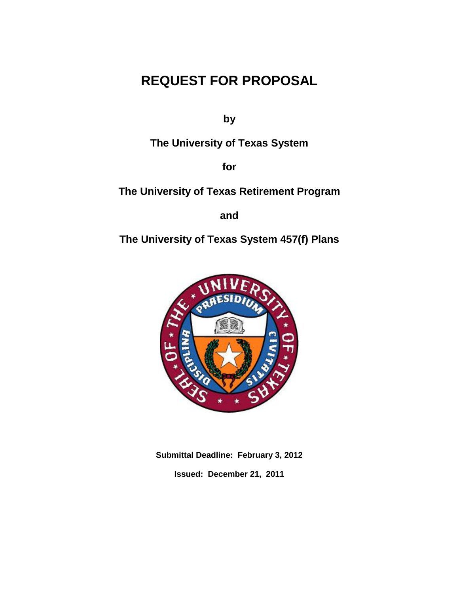# **REQUEST FOR PROPOSAL**

**by**

**The University of Texas System**

**for**

**The University of Texas Retirement Program**

**and**

**The University of Texas System 457(f) Plans**



**Submittal Deadline: February 3, 2012 Issued: December 21, 2011**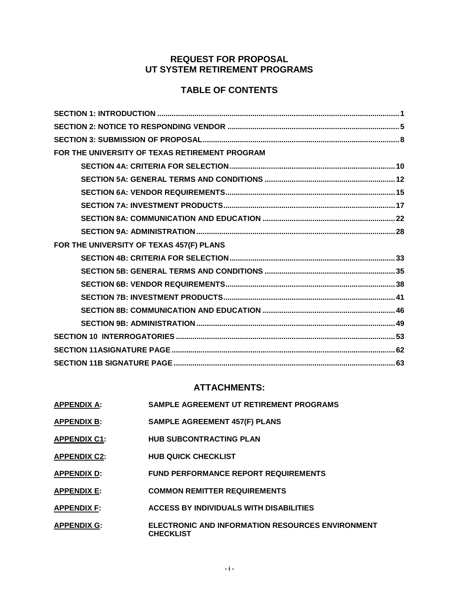## **REQUEST FOR PROPOSAL UT SYSTEM RETIREMENT PROGRAMS**

## **TABLE OF CONTENTS**

| FOR THE UNIVERSITY OF TEXAS RETIREMENT PROGRAM |
|------------------------------------------------|
|                                                |
|                                                |
|                                                |
|                                                |
|                                                |
|                                                |
| FOR THE UNIVERSITY OF TEXAS 457(F) PLANS       |
|                                                |
|                                                |
|                                                |
|                                                |
|                                                |
|                                                |
|                                                |
|                                                |
|                                                |

## **ATTACHMENTS:**

| <b>APPENDIX A:</b>  | <b>SAMPLE AGREEMENT UT RETIREMENT PROGRAMS</b>                              |
|---------------------|-----------------------------------------------------------------------------|
| <b>APPENDIX B:</b>  | <b>SAMPLE AGREEMENT 457(F) PLANS</b>                                        |
| <b>APPENDIX C1:</b> | <b>HUB SUBCONTRACTING PLAN</b>                                              |
| <b>APPENDIX C2:</b> | <b>HUB QUICK CHECKLIST</b>                                                  |
| <b>APPENDIX D:</b>  | <b>FUND PERFORMANCE REPORT REQUIREMENTS</b>                                 |
| <b>APPENDIX E:</b>  | <b>COMMON REMITTER REQUIREMENTS</b>                                         |
| <b>APPENDIX F:</b>  | <b>ACCESS BY INDIVIDUALS WITH DISABILITIES</b>                              |
| <b>APPENDIX G:</b>  | <b>ELECTRONIC AND INFORMATION RESOURCES ENVIRONMENT</b><br><b>CHECKLIST</b> |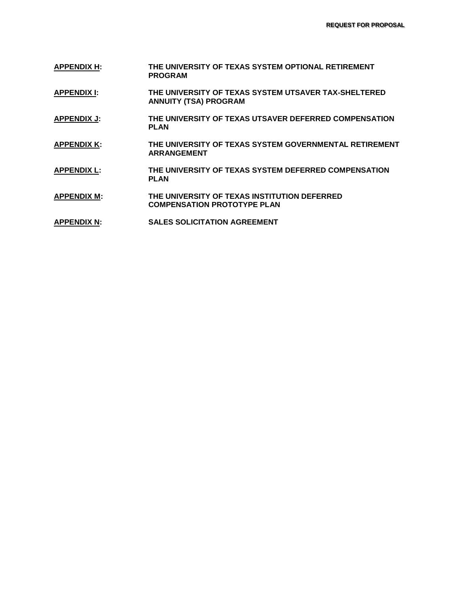- **APPENDIX H: THE UNIVERSITY OF TEXAS SYSTEM OPTIONAL RETIREMENT PROGRAM**
- **APPENDIX I: THE UNIVERSITY OF TEXAS SYSTEM UTSAVER TAX-SHELTERED ANNUITY (TSA) PROGRAM**
- **APPENDIX J: THE UNIVERSITY OF TEXAS UTSAVER DEFERRED COMPENSATION PLAN**
- **APPENDIX K: THE UNIVERSITY OF TEXAS SYSTEM GOVERNMENTAL RETIREMENT ARRANGEMENT**
- **APPENDIX L: THE UNIVERSITY OF TEXAS SYSTEM DEFERRED COMPENSATION PLAN**
- **APPENDIX M: THE UNIVERSITY OF TEXAS INSTITUTION DEFERRED COMPENSATION PROTOTYPE PLAN**
- **APPENDIX N: SALES SOLICITATION AGREEMENT**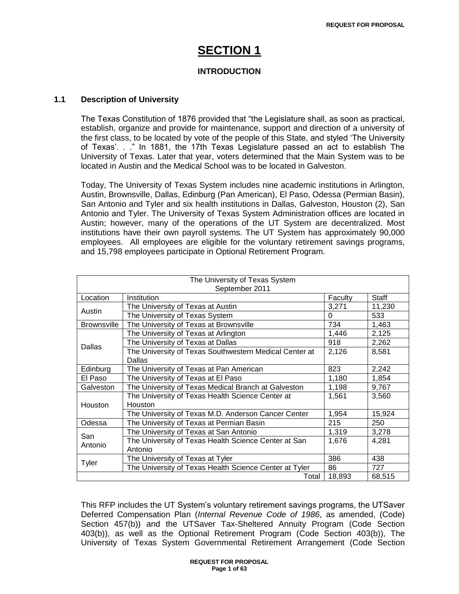# **SECTION 1**

## **INTRODUCTION**

## **1.1 Description of University**

The Texas Constitution of 1876 provided that "the Legislature shall, as soon as practical, establish, organize and provide for maintenance, support and direction of a university of the first class, to be located by vote of the people of this State, and styled "The University of Texas". . ." In 1881, the 17th Texas Legislature passed an act to establish The University of Texas. Later that year, voters determined that the Main System was to be located in Austin and the Medical School was to be located in Galveston.

Today, The University of Texas System includes nine academic institutions in Arlington, Austin, Brownsville, Dallas, Edinburg (Pan American), El Paso, Odessa (Permian Basin), San Antonio and Tyler and six health institutions in Dallas, Galveston, Houston (2), San Antonio and Tyler. The University of Texas System Administration offices are located in Austin; however, many of the operations of the UT System are decentralized. Most institutions have their own payroll systems. The UT System has approximately 90,000 employees. All employees are eligible for the voluntary retirement savings programs, and 15,798 employees participate in Optional Retirement Program.

| The University of Texas System<br>September 2011 |                                                        |          |        |
|--------------------------------------------------|--------------------------------------------------------|----------|--------|
| Location<br>Institution<br><b>Staff</b>          |                                                        |          |        |
|                                                  |                                                        | Faculty  |        |
| Austin                                           | The University of Texas at Austin                      | 3,271    | 11,230 |
|                                                  | The University of Texas System                         | $\Omega$ | 533    |
| <b>Brownsville</b>                               | The University of Texas at Brownsville                 | 734      | 1,463  |
|                                                  | The University of Texas at Arlington                   | 1,446    | 2,125  |
| <b>Dallas</b>                                    | The University of Texas at Dallas                      | 918      | 2,262  |
|                                                  | The University of Texas Southwestern Medical Center at | 2,126    | 8,581  |
|                                                  | Dallas                                                 |          |        |
| Edinburg                                         | The University of Texas at Pan American                | 823      | 2,242  |
| El Paso                                          | The University of Texas at El Paso                     | 1,180    | 1.854  |
| Galveston                                        | The University of Texas Medical Branch at Galveston    | 1,198    | 9,767  |
|                                                  | The University of Texas Health Science Center at       | 1,561    | 3,560  |
| Houston                                          | Houston                                                |          |        |
|                                                  | The University of Texas M.D. Anderson Cancer Center    | 1.954    | 15,924 |
| Odessa                                           | The University of Texas at Permian Basin               | 215      | 250    |
| San                                              | The University of Texas at San Antonio                 | 1,319    | 3,278  |
| Antonio                                          | The University of Texas Health Science Center at San   | 1,676    | 4,281  |
|                                                  | Antonio                                                |          |        |
| <b>Tyler</b>                                     | The University of Texas at Tyler                       | 386      | 438    |
|                                                  | The University of Texas Health Science Center at Tyler | 86       | 727    |
| 18,893<br>68,515<br>Total                        |                                                        |          |        |

This RFP includes the UT System"s voluntary retirement savings programs, the UTSaver Deferred Compensation Plan (*Internal Revenue Code of 1986*, as amended, (Code) Section 457(b)) and the UTSaver Tax-Sheltered Annuity Program (Code Section 403(b)), as well as the Optional Retirement Program (Code Section 403(b)), The University of Texas System Governmental Retirement Arrangement (Code Section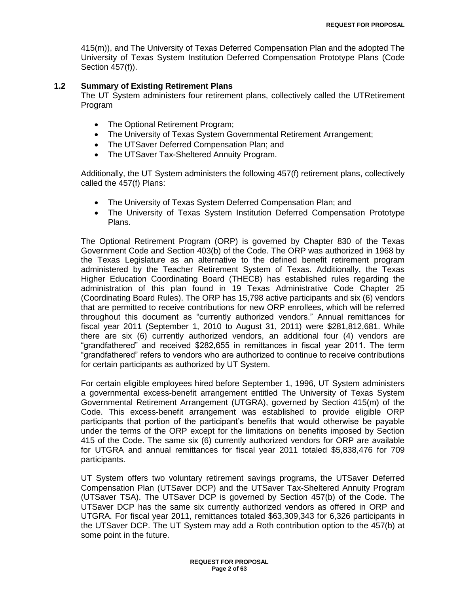415(m)), and The University of Texas Deferred Compensation Plan and the adopted The University of Texas System Institution Deferred Compensation Prototype Plans (Code Section 457(f)).

### **1.2 Summary of Existing Retirement Plans**

The UT System administers four retirement plans, collectively called the UTRetirement Program

- The Optional Retirement Program;
- The University of Texas System Governmental Retirement Arrangement;
- The UTSaver Deferred Compensation Plan; and
- The UTSaver Tax-Sheltered Annuity Program.

Additionally, the UT System administers the following 457(f) retirement plans, collectively called the 457(f) Plans:

- The University of Texas System Deferred Compensation Plan; and
- The University of Texas System Institution Deferred Compensation Prototype Plans.

The Optional Retirement Program (ORP) is governed by Chapter 830 of the Texas Government Code and Section 403(b) of the Code. The ORP was authorized in 1968 by the Texas Legislature as an alternative to the defined benefit retirement program administered by the Teacher Retirement System of Texas. Additionally, the Texas Higher Education Coordinating Board (THECB) has established rules regarding the administration of this plan found in 19 Texas Administrative Code Chapter 25 (Coordinating Board Rules). The ORP has 15,798 active participants and six (6) vendors that are permitted to receive contributions for new ORP enrollees, which will be referred throughout this document as "currently authorized vendors." Annual remittances for fiscal year 2011 (September 1, 2010 to August 31, 2011) were \$281,812,681. While there are six (6) currently authorized vendors, an additional four (4) vendors are "grandfathered" and received \$282,655 in remittances in fiscal year 2011. The term "grandfathered" refers to vendors who are authorized to continue to receive contributions for certain participants as authorized by UT System.

For certain eligible employees hired before September 1, 1996, UT System administers a governmental excess-benefit arrangement entitled The University of Texas System Governmental Retirement Arrangement (UTGRA), governed by Section 415(m) of the Code. This excess-benefit arrangement was established to provide eligible ORP participants that portion of the participant"s benefits that would otherwise be payable under the terms of the ORP except for the limitations on benefits imposed by Section 415 of the Code. The same six (6) currently authorized vendors for ORP are available for UTGRA and annual remittances for fiscal year 2011 totaled \$5,838,476 for 709 participants.

UT System offers two voluntary retirement savings programs, the UTSaver Deferred Compensation Plan (UTSaver DCP) and the UTSaver Tax-Sheltered Annuity Program (UTSaver TSA). The UTSaver DCP is governed by Section 457(b) of the Code. The UTSaver DCP has the same six currently authorized vendors as offered in ORP and UTGRA. For fiscal year 2011, remittances totaled \$63,309,343 for 6,326 participants in the UTSaver DCP. The UT System may add a Roth contribution option to the 457(b) at some point in the future.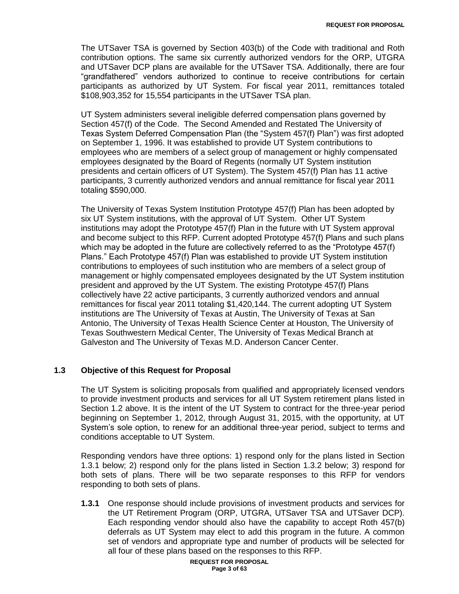The UTSaver TSA is governed by Section 403(b) of the Code with traditional and Roth contribution options. The same six currently authorized vendors for the ORP, UTGRA and UTSaver DCP plans are available for the UTSaver TSA. Additionally, there are four "grandfathered" vendors authorized to continue to receive contributions for certain participants as authorized by UT System. For fiscal year 2011, remittances totaled \$108,903,352 for 15,554 participants in the UTSaver TSA plan.

UT System administers several ineligible deferred compensation plans governed by Section 457(f) of the Code. The Second Amended and Restated The University of Texas System Deferred Compensation Plan (the "System 457(f) Plan") was first adopted on September 1, 1996. It was established to provide UT System contributions to employees who are members of a select group of management or highly compensated employees designated by the Board of Regents (normally UT System institution presidents and certain officers of UT System). The System 457(f) Plan has 11 active participants, 3 currently authorized vendors and annual remittance for fiscal year 2011 totaling \$590,000.

The University of Texas System Institution Prototype 457(f) Plan has been adopted by six UT System institutions, with the approval of UT System. Other UT System institutions may adopt the Prototype 457(f) Plan in the future with UT System approval and become subject to this RFP. Current adopted Prototype 457(f) Plans and such plans which may be adopted in the future are collectively referred to as the "Prototype 457(f) Plans." Each Prototype 457(f) Plan was established to provide UT System institution contributions to employees of such institution who are members of a select group of management or highly compensated employees designated by the UT System institution president and approved by the UT System. The existing Prototype 457(f) Plans collectively have 22 active participants, 3 currently authorized vendors and annual remittances for fiscal year 2011 totaling \$1,420,144. The current adopting UT System institutions are The University of Texas at Austin, The University of Texas at San Antonio, The University of Texas Health Science Center at Houston, The University of Texas Southwestern Medical Center, The University of Texas Medical Branch at Galveston and The University of Texas M.D. Anderson Cancer Center.

#### **1.3 Objective of this Request for Proposal**

The UT System is soliciting proposals from qualified and appropriately licensed vendors to provide investment products and services for all UT System retirement plans listed in Section 1.2 above. It is the intent of the UT System to contract for the three-year period beginning on September 1, 2012, through August 31, 2015, with the opportunity, at UT System's sole option, to renew for an additional three-year period, subject to terms and conditions acceptable to UT System.

Responding vendors have three options: 1) respond only for the plans listed in Section 1.3.1 below; 2) respond only for the plans listed in Section 1.3.2 below; 3) respond for both sets of plans. There will be two separate responses to this RFP for vendors responding to both sets of plans.

**1.3.1** One response should include provisions of investment products and services for the UT Retirement Program (ORP, UTGRA, UTSaver TSA and UTSaver DCP). Each responding vendor should also have the capability to accept Roth 457(b) deferrals as UT System may elect to add this program in the future. A common set of vendors and appropriate type and number of products will be selected for all four of these plans based on the responses to this RFP.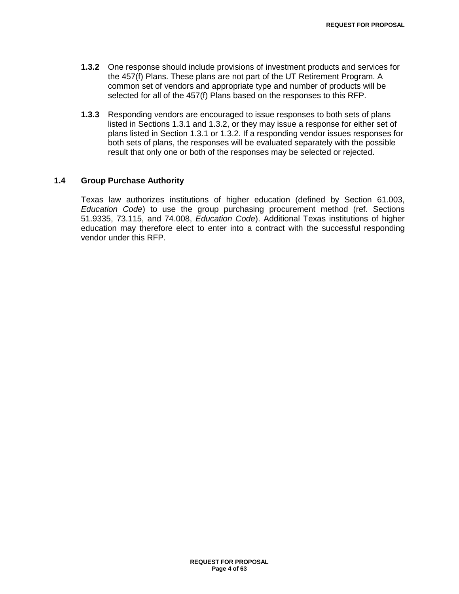- **1.3.2** One response should include provisions of investment products and services for the 457(f) Plans. These plans are not part of the UT Retirement Program. A common set of vendors and appropriate type and number of products will be selected for all of the 457(f) Plans based on the responses to this RFP.
- **1.3.3** Responding vendors are encouraged to issue responses to both sets of plans listed in Sections 1.3.1 and 1.3.2, or they may issue a response for either set of plans listed in Section 1.3.1 or 1.3.2. If a responding vendor issues responses for both sets of plans, the responses will be evaluated separately with the possible result that only one or both of the responses may be selected or rejected.

#### **1.4 Group Purchase Authority**

Texas law authorizes institutions of higher education (defined by Section 61.003, *Education Code*) to use the group purchasing procurement method (ref. Sections 51.9335, 73.115, and 74.008, *Education Code*). Additional Texas institutions of higher education may therefore elect to enter into a contract with the successful responding vendor under this RFP.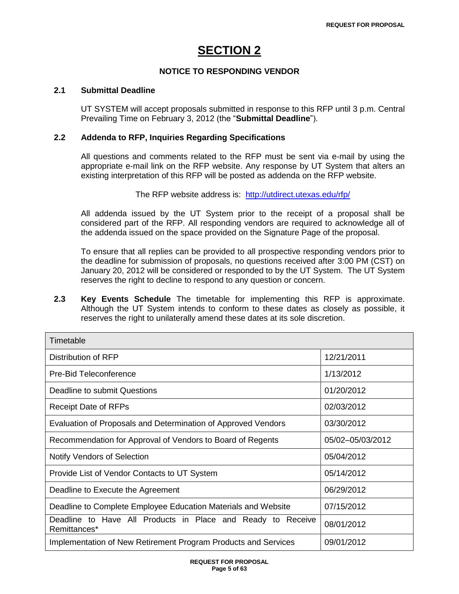# **SECTION 2**

## **NOTICE TO RESPONDING VENDOR**

#### **2.1 Submittal Deadline**

UT SYSTEM will accept proposals submitted in response to this RFP until 3 p.m. Central Prevailing Time on February 3, 2012 (the "**Submittal Deadline**").

## **2.2 Addenda to RFP, Inquiries Regarding Specifications**

All questions and comments related to the RFP must be sent via e-mail by using the appropriate e-mail link on the RFP website. Any response by UT System that alters an existing interpretation of this RFP will be posted as addenda on the RFP website.

The RFP website address is: <http://utdirect.utexas.edu/rfp/>

All addenda issued by the UT System prior to the receipt of a proposal shall be considered part of the RFP. All responding vendors are required to acknowledge all of the addenda issued on the space provided on the Signature Page of the proposal.

To ensure that all replies can be provided to all prospective responding vendors prior to the deadline for submission of proposals, no questions received after 3:00 PM (CST) on January 20, 2012 will be considered or responded to by the UT System. The UT System reserves the right to decline to respond to any question or concern.

**2.3 Key Events Schedule** The timetable for implementing this RFP is approximate. Although the UT System intends to conform to these dates as closely as possible, it reserves the right to unilaterally amend these dates at its sole discretion.

| Timetable                                                                   |                  |  |  |
|-----------------------------------------------------------------------------|------------------|--|--|
| Distribution of RFP                                                         | 12/21/2011       |  |  |
| Pre-Bid Teleconference                                                      | 1/13/2012        |  |  |
| Deadline to submit Questions                                                | 01/20/2012       |  |  |
| <b>Receipt Date of RFPs</b>                                                 | 02/03/2012       |  |  |
| Evaluation of Proposals and Determination of Approved Vendors               | 03/30/2012       |  |  |
| Recommendation for Approval of Vendors to Board of Regents                  | 05/02-05/03/2012 |  |  |
| <b>Notify Vendors of Selection</b>                                          | 05/04/2012       |  |  |
| Provide List of Vendor Contacts to UT System                                | 05/14/2012       |  |  |
| Deadline to Execute the Agreement                                           | 06/29/2012       |  |  |
| Deadline to Complete Employee Education Materials and Website               | 07/15/2012       |  |  |
| Deadline to Have All Products in Place and Ready to Receive<br>Remittances* | 08/01/2012       |  |  |
| Implementation of New Retirement Program Products and Services              | 09/01/2012       |  |  |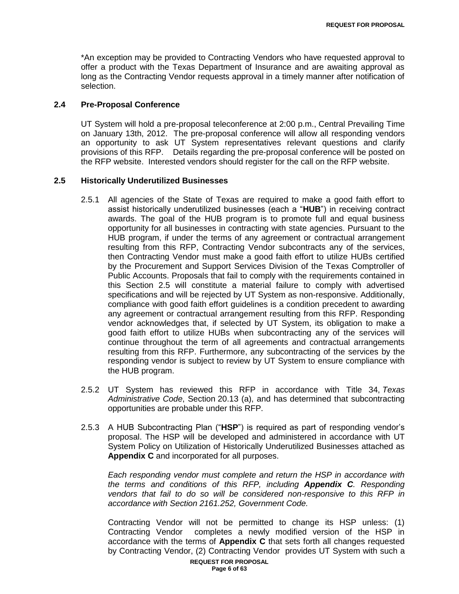\*An exception may be provided to Contracting Vendors who have requested approval to offer a product with the Texas Department of Insurance and are awaiting approval as long as the Contracting Vendor requests approval in a timely manner after notification of selection.

#### **2.4 Pre-Proposal Conference**

UT System will hold a pre-proposal teleconference at 2:00 p.m., Central Prevailing Time on January 13th, 2012. The pre-proposal conference will allow all responding vendors an opportunity to ask UT System representatives relevant questions and clarify provisions of this RFP. Details regarding the pre-proposal conference will be posted on the RFP website. Interested vendors should register for the call on the RFP website.

#### **2.5 Historically Underutilized Businesses**

- 2.5.1 All agencies of the State of Texas are required to make a good faith effort to assist historically underutilized businesses (each a "**HUB**") in receiving contract awards. The goal of the HUB program is to promote full and equal business opportunity for all businesses in contracting with state agencies. Pursuant to the HUB program, if under the terms of any agreement or contractual arrangement resulting from this RFP, Contracting Vendor subcontracts any of the services, then Contracting Vendor must make a good faith effort to utilize HUBs certified by the Procurement and Support Services Division of the Texas Comptroller of Public Accounts. Proposals that fail to comply with the requirements contained in this Section 2.5 will constitute a material failure to comply with advertised specifications and will be rejected by UT System as non-responsive. Additionally, compliance with good faith effort guidelines is a condition precedent to awarding any agreement or contractual arrangement resulting from this RFP. Responding vendor acknowledges that, if selected by UT System, its obligation to make a good faith effort to utilize HUBs when subcontracting any of the services will continue throughout the term of all agreements and contractual arrangements resulting from this RFP. Furthermore, any subcontracting of the services by the responding vendor is subject to review by UT System to ensure compliance with the HUB program.
- 2.5.2 UT System has reviewed this RFP in accordance with Title 34, *Texas Administrative Code*, Section 20.13 (a), and has determined that subcontracting opportunities are probable under this RFP.
- 2.5.3 A HUB Subcontracting Plan ("**HSP**") is required as part of responding vendor's proposal. The HSP will be developed and administered in accordance with UT System Policy on Utilization of Historically Underutilized Businesses attached as **Appendix C** and incorporated for all purposes.

*Each responding vendor must complete and return the HSP in accordance with the terms and conditions of this RFP, including Appendix C. Responding vendors that fail to do so will be considered non-responsive to this RFP in accordance with Section 2161.252, Government Code.*

Contracting Vendor will not be permitted to change its HSP unless: (1) Contracting Vendor completes a newly modified version of the HSP in accordance with the terms of **Appendix C** that sets forth all changes requested by Contracting Vendor, (2) Contracting Vendor provides UT System with such a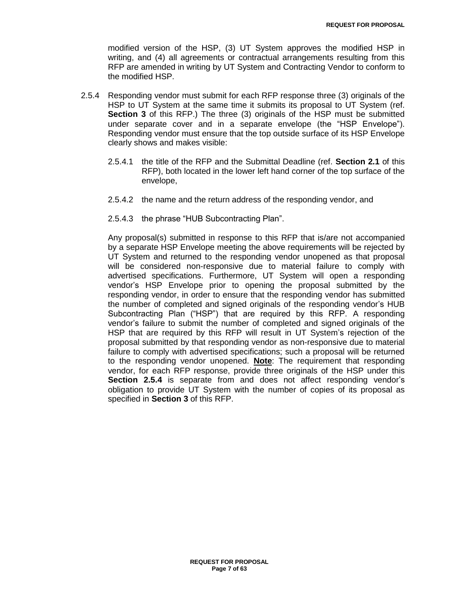modified version of the HSP, (3) UT System approves the modified HSP in writing, and (4) all agreements or contractual arrangements resulting from this RFP are amended in writing by UT System and Contracting Vendor to conform to the modified HSP.

- 2.5.4 Responding vendor must submit for each RFP response three (3) originals of the HSP to UT System at the same time it submits its proposal to UT System (ref. **Section 3** of this RFP.) The three (3) originals of the HSP must be submitted under separate cover and in a separate envelope (the "HSP Envelope"). Responding vendor must ensure that the top outside surface of its HSP Envelope clearly shows and makes visible:
	- 2.5.4.1 the title of the RFP and the Submittal Deadline (ref. **Section 2.1** of this RFP), both located in the lower left hand corner of the top surface of the envelope,
	- 2.5.4.2 the name and the return address of the responding vendor, and
	- 2.5.4.3 the phrase "HUB Subcontracting Plan".

Any proposal(s) submitted in response to this RFP that is/are not accompanied by a separate HSP Envelope meeting the above requirements will be rejected by UT System and returned to the responding vendor unopened as that proposal will be considered non-responsive due to material failure to comply with advertised specifications. Furthermore, UT System will open a responding vendor"s HSP Envelope prior to opening the proposal submitted by the responding vendor, in order to ensure that the responding vendor has submitted the number of completed and signed originals of the responding vendor"s HUB Subcontracting Plan ("HSP") that are required by this RFP. A responding vendor"s failure to submit the number of completed and signed originals of the HSP that are required by this RFP will result in UT System"s rejection of the proposal submitted by that responding vendor as non-responsive due to material failure to comply with advertised specifications; such a proposal will be returned to the responding vendor unopened. **Note**: The requirement that responding vendor, for each RFP response, provide three originals of the HSP under this **Section 2.5.4** is separate from and does not affect responding vendor's obligation to provide UT System with the number of copies of its proposal as specified in **Section 3** of this RFP.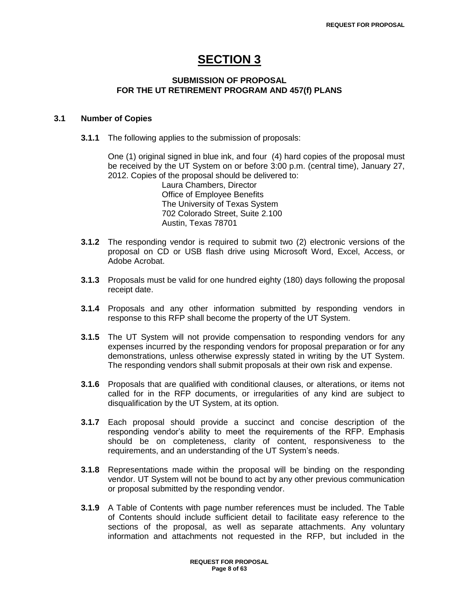## **SECTION 3**

## **SUBMISSION OF PROPOSAL FOR THE UT RETIREMENT PROGRAM AND 457(f) PLANS**

## **3.1 Number of Copies**

**3.1.1** The following applies to the submission of proposals:

One (1) original signed in blue ink, and four (4) hard copies of the proposal must be received by the UT System on or before 3:00 p.m. (central time), January 27, 2012. Copies of the proposal should be delivered to:

Laura Chambers, Director Office of Employee Benefits The University of Texas System 702 Colorado Street, Suite 2.100 Austin, Texas 78701

- **3.1.2** The responding vendor is required to submit two (2) electronic versions of the proposal on CD or USB flash drive using Microsoft Word, Excel, Access, or Adobe Acrobat.
- **3.1.3** Proposals must be valid for one hundred eighty (180) days following the proposal receipt date.
- **3.1.4** Proposals and any other information submitted by responding vendors in response to this RFP shall become the property of the UT System.
- **3.1.5** The UT System will not provide compensation to responding vendors for any expenses incurred by the responding vendors for proposal preparation or for any demonstrations, unless otherwise expressly stated in writing by the UT System. The responding vendors shall submit proposals at their own risk and expense.
- **3.1.6** Proposals that are qualified with conditional clauses, or alterations, or items not called for in the RFP documents, or irregularities of any kind are subject to disqualification by the UT System, at its option.
- **3.1.7** Each proposal should provide a succinct and concise description of the responding vendor"s ability to meet the requirements of the RFP. Emphasis should be on completeness, clarity of content, responsiveness to the requirements, and an understanding of the UT System's needs.
- **3.1.8** Representations made within the proposal will be binding on the responding vendor. UT System will not be bound to act by any other previous communication or proposal submitted by the responding vendor.
- **3.1.9** A Table of Contents with page number references must be included. The Table of Contents should include sufficient detail to facilitate easy reference to the sections of the proposal, as well as separate attachments. Any voluntary information and attachments not requested in the RFP, but included in the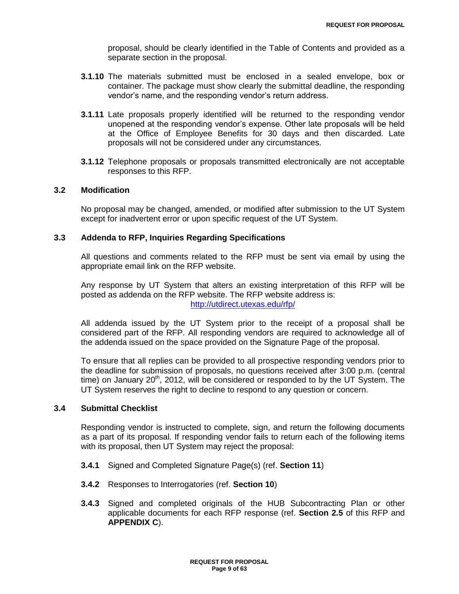proposal, should be clearly identified in the Table of Contents and provided as a separate section in the proposal.

- **3.1.10** The materials submitted must be enclosed in a sealed envelope, box or container. The package must show clearly the submittal deadline, the responding vendor"s name, and the responding vendor"s return address.
- **3.1.11** Late proposals properly identified will be returned to the responding vendor unopened at the responding vendor"s expense. Other late proposals will be held at the Office of Employee Benefits for 30 days and then discarded. Late proposals will not be considered under any circumstances.
- **3.1.12** Telephone proposals or proposals transmitted electronically are not acceptable responses to this RFP.

## **3.2 Modification**

No proposal may be changed, amended, or modified after submission to the UT System except for inadvertent error or upon specific request of the UT System.

#### **3.3 Addenda to RFP, Inquiries Regarding Specifications**

All questions and comments related to the RFP must be sent via email by using the appropriate email link on the RFP website.

Any response by UT System that alters an existing interpretation of this RFP will be posted as addenda on the RFP website. The RFP website address is: <http://utdirect.utexas.edu/rfp/>

All addenda issued by the UT System prior to the receipt of a proposal shall be considered part of the RFP. All responding vendors are required to acknowledge all of the addenda issued on the space provided on the Signature Page of the proposal.

To ensure that all replies can be provided to all prospective responding vendors prior to the deadline for submission of proposals, no questions received after 3:00 p.m. (central time) on January  $20<sup>th</sup>$ , 2012, will be considered or responded to by the UT System. The UT System reserves the right to decline to respond to any question or concern.

## **3.4 Submittal Checklist**

Responding vendor is instructed to complete, sign, and return the following documents as a part of its proposal. If responding vendor fails to return each of the following items with its proposal, then UT System may reject the proposal:

- **3.4.1** Signed and Completed Signature Page(s) (ref. **Section 11**)
- **3.4.2** Responses to Interrogatories (ref. **Section 10**)
- **3.4.3** Signed and completed originals of the HUB Subcontracting Plan or other applicable documents for each RFP response (ref. **Section 2.5** of this RFP and **APPENDIX C**).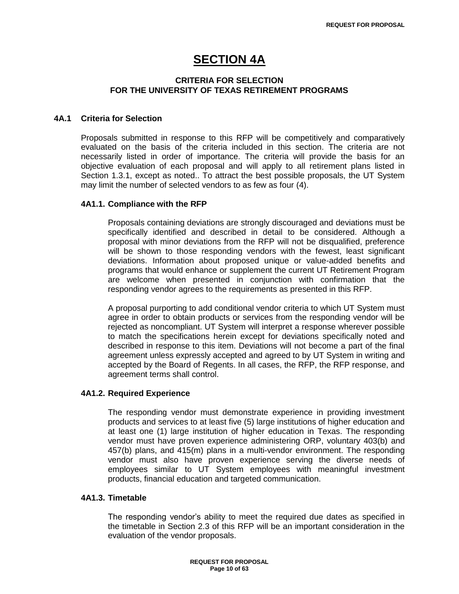## **SECTION 4A**

## **CRITERIA FOR SELECTION FOR THE UNIVERSITY OF TEXAS RETIREMENT PROGRAMS**

#### **4A.1 Criteria for Selection**

Proposals submitted in response to this RFP will be competitively and comparatively evaluated on the basis of the criteria included in this section. The criteria are not necessarily listed in order of importance. The criteria will provide the basis for an objective evaluation of each proposal and will apply to all retirement plans listed in Section 1.3.1, except as noted.. To attract the best possible proposals, the UT System may limit the number of selected vendors to as few as four (4).

#### **4A1.1. Compliance with the RFP**

Proposals containing deviations are strongly discouraged and deviations must be specifically identified and described in detail to be considered. Although a proposal with minor deviations from the RFP will not be disqualified, preference will be shown to those responding vendors with the fewest, least significant deviations. Information about proposed unique or value-added benefits and programs that would enhance or supplement the current UT Retirement Program are welcome when presented in conjunction with confirmation that the responding vendor agrees to the requirements as presented in this RFP.

A proposal purporting to add conditional vendor criteria to which UT System must agree in order to obtain products or services from the responding vendor will be rejected as noncompliant. UT System will interpret a response wherever possible to match the specifications herein except for deviations specifically noted and described in response to this item. Deviations will not become a part of the final agreement unless expressly accepted and agreed to by UT System in writing and accepted by the Board of Regents. In all cases, the RFP, the RFP response, and agreement terms shall control.

## **4A1.2. Required Experience**

The responding vendor must demonstrate experience in providing investment products and services to at least five (5) large institutions of higher education and at least one (1) large institution of higher education in Texas. The responding vendor must have proven experience administering ORP, voluntary 403(b) and 457(b) plans, and 415(m) plans in a multi-vendor environment. The responding vendor must also have proven experience serving the diverse needs of employees similar to UT System employees with meaningful investment products, financial education and targeted communication.

#### **4A1.3. Timetable**

The responding vendor"s ability to meet the required due dates as specified in the timetable in Section 2.3 of this RFP will be an important consideration in the evaluation of the vendor proposals.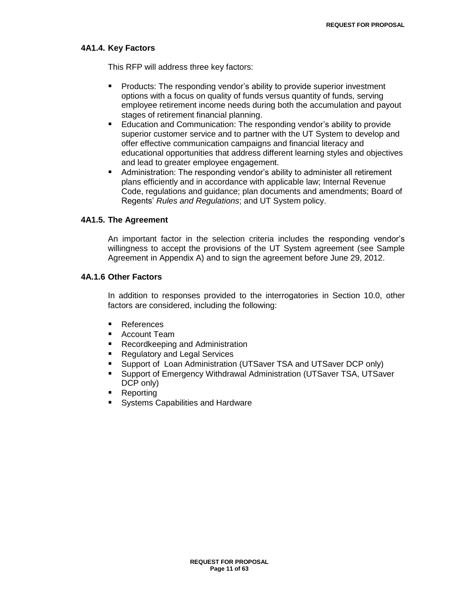#### **4A1.4. Key Factors**

This RFP will address three key factors:

- **Products: The responding vendor's ability to provide superior investment** options with a focus on quality of funds versus quantity of funds, serving employee retirement income needs during both the accumulation and payout stages of retirement financial planning.
- Education and Communication: The responding vendor"s ability to provide superior customer service and to partner with the UT System to develop and offer effective communication campaigns and financial literacy and educational opportunities that address different learning styles and objectives and lead to greater employee engagement.
- Administration: The responding vendor"s ability to administer all retirement plans efficiently and in accordance with applicable law; Internal Revenue Code, regulations and guidance; plan documents and amendments; Board of Regents" *Rules and Regulations*; and UT System policy.

#### **4A1.5. The Agreement**

An important factor in the selection criteria includes the responding vendor"s willingness to accept the provisions of the UT System agreement (see Sample Agreement in Appendix A) and to sign the agreement before June 29, 2012.

#### **4A.1.6 Other Factors**

In addition to responses provided to the interrogatories in Section 10.0, other factors are considered, including the following:

- References
- Account Team
- **Recordkeeping and Administration**
- Regulatory and Legal Services
- Support of Loan Administration (UTSaver TSA and UTSaver DCP only)
- Support of Emergency Withdrawal Administration (UTSaver TSA, UTSaver DCP only)
- Reporting
- Systems Capabilities and Hardware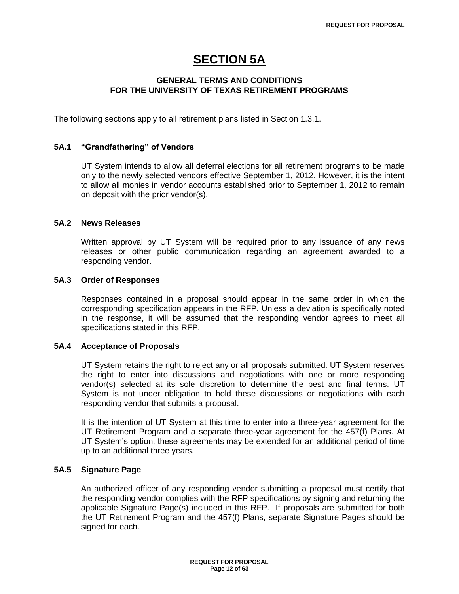## **SECTION 5A**

## **GENERAL TERMS AND CONDITIONS FOR THE UNIVERSITY OF TEXAS RETIREMENT PROGRAMS**

The following sections apply to all retirement plans listed in Section 1.3.1.

### **5A.1 "Grandfathering" of Vendors**

UT System intends to allow all deferral elections for all retirement programs to be made only to the newly selected vendors effective September 1, 2012. However, it is the intent to allow all monies in vendor accounts established prior to September 1, 2012 to remain on deposit with the prior vendor(s).

## **5A.2 News Releases**

Written approval by UT System will be required prior to any issuance of any news releases or other public communication regarding an agreement awarded to a responding vendor.

## **5A.3 Order of Responses**

Responses contained in a proposal should appear in the same order in which the corresponding specification appears in the RFP. Unless a deviation is specifically noted in the response, it will be assumed that the responding vendor agrees to meet all specifications stated in this RFP.

#### **5A.4 Acceptance of Proposals**

UT System retains the right to reject any or all proposals submitted. UT System reserves the right to enter into discussions and negotiations with one or more responding vendor(s) selected at its sole discretion to determine the best and final terms. UT System is not under obligation to hold these discussions or negotiations with each responding vendor that submits a proposal.

It is the intention of UT System at this time to enter into a three-year agreement for the UT Retirement Program and a separate three-year agreement for the 457(f) Plans. At UT System"s option, these agreements may be extended for an additional period of time up to an additional three years.

## **5A.5 Signature Page**

An authorized officer of any responding vendor submitting a proposal must certify that the responding vendor complies with the RFP specifications by signing and returning the applicable Signature Page(s) included in this RFP. If proposals are submitted for both the UT Retirement Program and the 457(f) Plans, separate Signature Pages should be signed for each.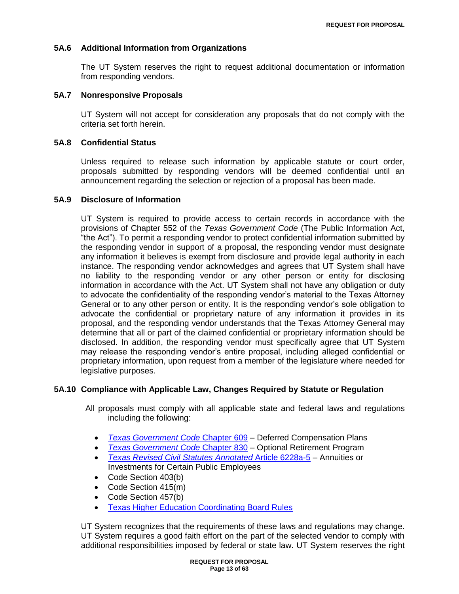## **5A.6 Additional Information from Organizations**

The UT System reserves the right to request additional documentation or information from responding vendors.

#### **5A.7 Nonresponsive Proposals**

UT System will not accept for consideration any proposals that do not comply with the criteria set forth herein.

#### **5A.8 Confidential Status**

Unless required to release such information by applicable statute or court order, proposals submitted by responding vendors will be deemed confidential until an announcement regarding the selection or rejection of a proposal has been made.

## **5A.9 Disclosure of Information**

UT System is required to provide access to certain records in accordance with the provisions of Chapter 552 of the *Texas Government Code* (The Public Information Act, "the Act"). To permit a responding vendor to protect confidential information submitted by the responding vendor in support of a proposal, the responding vendor must designate any information it believes is exempt from disclosure and provide legal authority in each instance. The responding vendor acknowledges and agrees that UT System shall have no liability to the responding vendor or any other person or entity for disclosing information in accordance with the Act. UT System shall not have any obligation or duty to advocate the confidentiality of the responding vendor"s material to the Texas Attorney General or to any other person or entity. It is the responding vendor"s sole obligation to advocate the confidential or proprietary nature of any information it provides in its proposal, and the responding vendor understands that the Texas Attorney General may determine that all or part of the claimed confidential or proprietary information should be disclosed. In addition, the responding vendor must specifically agree that UT System may release the responding vendor"s entire proposal, including alleged confidential or proprietary information, upon request from a member of the legislature where needed for legislative purposes.

### **5A.10 Compliance with Applicable Law, Changes Required by Statute or Regulation**

All proposals must comply with all applicable state and federal laws and regulations including the following:

- *[Texas Government Code](http://www.statutes.legis.state.tx.us/Docs/GV/htm/GV.609.htm)* Chapter 609 Deferred Compensation Plans
- *[Texas Government Code](http://www.statutes.legis.state.tx.us/Docs/GV/htm/GV.830.htm)* Chapter 830 Optional Retirement Program
- *[Texas Revised Civil Statutes](http://www.statutes.legis.state.tx.us/Docs/CV/htm/CV.109.0.htm#6228a-5) Annotated* Article 6228a-5 Annuities or Investments for Certain Public Employees
- Code Section 403(b)
- Code Section 415(m)
- Code Section 457(b)
- **[Texas Higher Education Coordinating Board Rules](http://info.sos.state.tx.us/pls/pub/readtac$ext.ViewTAC?tac_view=4&ti=19&pt=1&ch=25)**

UT System recognizes that the requirements of these laws and regulations may change. UT System requires a good faith effort on the part of the selected vendor to comply with additional responsibilities imposed by federal or state law. UT System reserves the right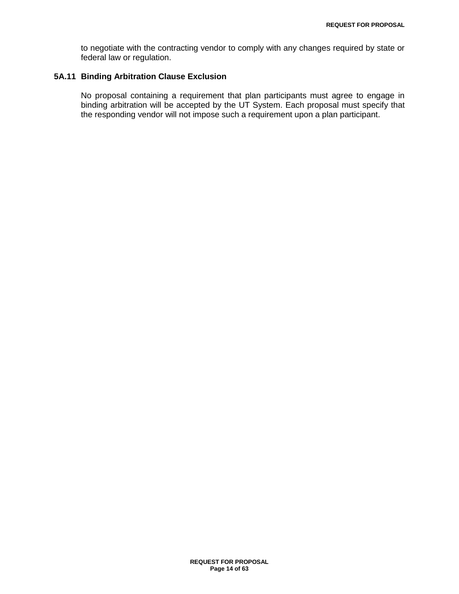to negotiate with the contracting vendor to comply with any changes required by state or federal law or regulation.

## **5A.11 Binding Arbitration Clause Exclusion**

No proposal containing a requirement that plan participants must agree to engage in binding arbitration will be accepted by the UT System. Each proposal must specify that the responding vendor will not impose such a requirement upon a plan participant.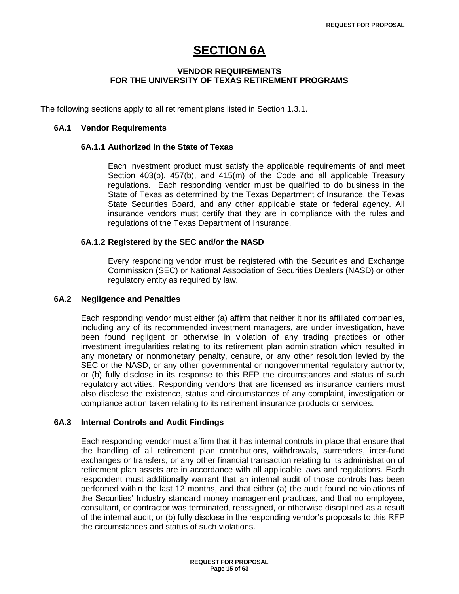# **SECTION 6A**

## **VENDOR REQUIREMENTS FOR THE UNIVERSITY OF TEXAS RETIREMENT PROGRAMS**

The following sections apply to all retirement plans listed in Section 1.3.1.

### **6A.1 Vendor Requirements**

#### **6A.1.1 Authorized in the State of Texas**

Each investment product must satisfy the applicable requirements of and meet Section 403(b), 457(b), and 415(m) of the Code and all applicable Treasury regulations. Each responding vendor must be qualified to do business in the State of Texas as determined by the Texas Department of Insurance, the Texas State Securities Board, and any other applicable state or federal agency. All insurance vendors must certify that they are in compliance with the rules and regulations of the Texas Department of Insurance.

#### **6A.1.2 Registered by the SEC and/or the NASD**

Every responding vendor must be registered with the Securities and Exchange Commission (SEC) or National Association of Securities Dealers (NASD) or other regulatory entity as required by law.

#### **6A.2 Negligence and Penalties**

Each responding vendor must either (a) affirm that neither it nor its affiliated companies, including any of its recommended investment managers, are under investigation, have been found negligent or otherwise in violation of any trading practices or other investment irregularities relating to its retirement plan administration which resulted in any monetary or nonmonetary penalty, censure, or any other resolution levied by the SEC or the NASD, or any other governmental or nongovernmental regulatory authority; or (b) fully disclose in its response to this RFP the circumstances and status of such regulatory activities. Responding vendors that are licensed as insurance carriers must also disclose the existence, status and circumstances of any complaint, investigation or compliance action taken relating to its retirement insurance products or services.

#### **6A.3 Internal Controls and Audit Findings**

Each responding vendor must affirm that it has internal controls in place that ensure that the handling of all retirement plan contributions, withdrawals, surrenders, inter-fund exchanges or transfers, or any other financial transaction relating to its administration of retirement plan assets are in accordance with all applicable laws and regulations. Each respondent must additionally warrant that an internal audit of those controls has been performed within the last 12 months, and that either (a) the audit found no violations of the Securities" Industry standard money management practices, and that no employee, consultant, or contractor was terminated, reassigned, or otherwise disciplined as a result of the internal audit; or (b) fully disclose in the responding vendor"s proposals to this RFP the circumstances and status of such violations.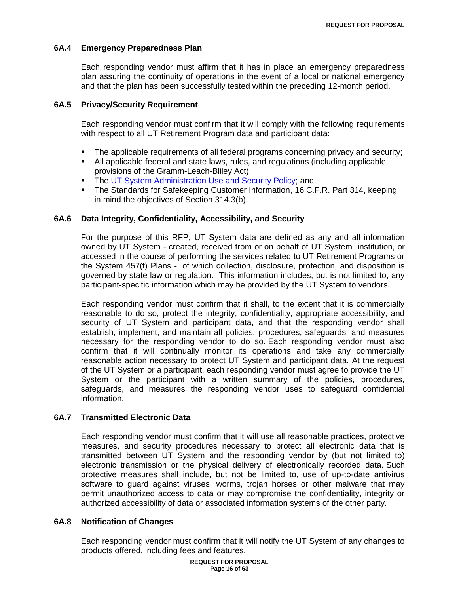## **6A.4 Emergency Preparedness Plan**

Each responding vendor must affirm that it has in place an emergency preparedness plan assuring the continuity of operations in the event of a local or national emergency and that the plan has been successfully tested within the preceding 12-month period.

## **6A.5 Privacy/Security Requirement**

Each responding vendor must confirm that it will comply with the following requirements with respect to all UT Retirement Program data and participant data:

- The applicable requirements of all federal programs concerning privacy and security;
- All applicable federal and state laws, rules, and regulations (including applicable provisions of the Gramm-Leach-Bliley Act);
- **The [UT System Administration Use and Security Policy;](http://www.utsystem.edu/bor/procedures/policy/policies/uts165.html) and**
- The Standards for Safekeeping Customer Information, 16 C.F.R. Part 314, keeping in mind the objectives of Section 314.3(b).

## **6A.6 Data Integrity, Confidentiality, Accessibility, and Security**

For the purpose of this RFP, UT System data are defined as any and all information owned by UT System - created, received from or on behalf of UT System institution, or accessed in the course of performing the services related to UT Retirement Programs or the System 457(f) Plans - of which collection, disclosure, protection, and disposition is governed by state law or regulation. This information includes, but is not limited to, any participant-specific information which may be provided by the UT System to vendors.

Each responding vendor must confirm that it shall, to the extent that it is commercially reasonable to do so, protect the integrity, confidentiality, appropriate accessibility, and security of UT System and participant data, and that the responding vendor shall establish, implement, and maintain all policies, procedures, safeguards, and measures necessary for the responding vendor to do so. Each responding vendor must also confirm that it will continually monitor its operations and take any commercially reasonable action necessary to protect UT System and participant data. At the request of the UT System or a participant, each responding vendor must agree to provide the UT System or the participant with a written summary of the policies, procedures, safeguards, and measures the responding vendor uses to safeguard confidential information.

## **6A.7 Transmitted Electronic Data**

Each responding vendor must confirm that it will use all reasonable practices, protective measures, and security procedures necessary to protect all electronic data that is transmitted between UT System and the responding vendor by (but not limited to) electronic transmission or the physical delivery of electronically recorded data. Such protective measures shall include, but not be limited to, use of up-to-date antivirus software to guard against viruses, worms, trojan horses or other malware that may permit unauthorized access to data or may compromise the confidentiality, integrity or authorized accessibility of data or associated information systems of the other party.

## **6A.8 Notification of Changes**

Each responding vendor must confirm that it will notify the UT System of any changes to products offered, including fees and features.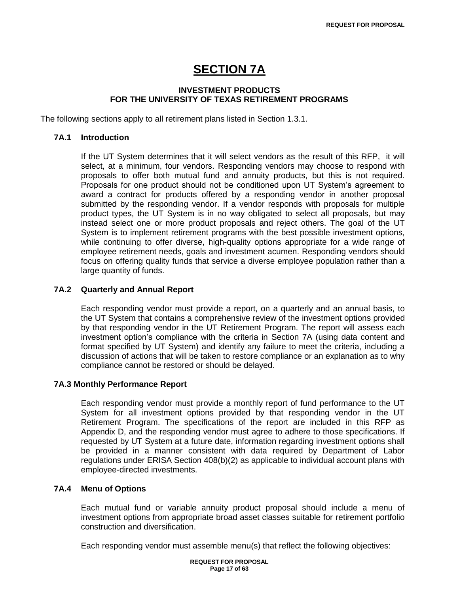# **SECTION 7A**

## **INVESTMENT PRODUCTS FOR THE UNIVERSITY OF TEXAS RETIREMENT PROGRAMS**

The following sections apply to all retirement plans listed in Section 1.3.1.

### **7A.1 Introduction**

If the UT System determines that it will select vendors as the result of this RFP, it will select, at a minimum, four vendors. Responding vendors may choose to respond with proposals to offer both mutual fund and annuity products, but this is not required. Proposals for one product should not be conditioned upon UT System"s agreement to award a contract for products offered by a responding vendor in another proposal submitted by the responding vendor. If a vendor responds with proposals for multiple product types, the UT System is in no way obligated to select all proposals, but may instead select one or more product proposals and reject others. The goal of the UT System is to implement retirement programs with the best possible investment options, while continuing to offer diverse, high-quality options appropriate for a wide range of employee retirement needs, goals and investment acumen. Responding vendors should focus on offering quality funds that service a diverse employee population rather than a large quantity of funds.

## **7A.2 Quarterly and Annual Report**

Each responding vendor must provide a report, on a quarterly and an annual basis, to the UT System that contains a comprehensive review of the investment options provided by that responding vendor in the UT Retirement Program. The report will assess each investment option"s compliance with the criteria in Section 7A (using data content and format specified by UT System) and identify any failure to meet the criteria, including a discussion of actions that will be taken to restore compliance or an explanation as to why compliance cannot be restored or should be delayed.

## **7A.3 Monthly Performance Report**

Each responding vendor must provide a monthly report of fund performance to the UT System for all investment options provided by that responding vendor in the UT Retirement Program. The specifications of the report are included in this RFP as Appendix D, and the responding vendor must agree to adhere to those specifications. If requested by UT System at a future date, information regarding investment options shall be provided in a manner consistent with data required by Department of Labor regulations under ERISA Section 408(b)(2) as applicable to individual account plans with employee-directed investments.

## **7A.4 Menu of Options**

Each mutual fund or variable annuity product proposal should include a menu of investment options from appropriate broad asset classes suitable for retirement portfolio construction and diversification.

Each responding vendor must assemble menu(s) that reflect the following objectives: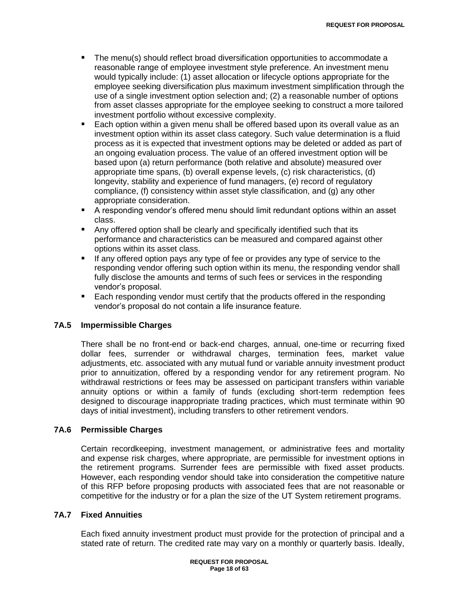- The menu(s) should reflect broad diversification opportunities to accommodate a reasonable range of employee investment style preference. An investment menu would typically include: (1) asset allocation or lifecycle options appropriate for the employee seeking diversification plus maximum investment simplification through the use of a single investment option selection and; (2) a reasonable number of options from asset classes appropriate for the employee seeking to construct a more tailored investment portfolio without excessive complexity.
- Each option within a given menu shall be offered based upon its overall value as an investment option within its asset class category. Such value determination is a fluid process as it is expected that investment options may be deleted or added as part of an ongoing evaluation process. The value of an offered investment option will be based upon (a) return performance (both relative and absolute) measured over appropriate time spans, (b) overall expense levels, (c) risk characteristics, (d) longevity, stability and experience of fund managers, (e) record of regulatory compliance, (f) consistency within asset style classification, and (g) any other appropriate consideration.
- A responding vendor"s offered menu should limit redundant options within an asset class.
- Any offered option shall be clearly and specifically identified such that its performance and characteristics can be measured and compared against other options within its asset class.
- If any offered option pays any type of fee or provides any type of service to the responding vendor offering such option within its menu, the responding vendor shall fully disclose the amounts and terms of such fees or services in the responding vendor"s proposal.
- **Each responding vendor must certify that the products offered in the responding** vendor"s proposal do not contain a life insurance feature.

## **7A.5 Impermissible Charges**

There shall be no front-end or back-end charges, annual, one-time or recurring fixed dollar fees, surrender or withdrawal charges, termination fees, market value adjustments, etc. associated with any mutual fund or variable annuity investment product prior to annuitization, offered by a responding vendor for any retirement program. No withdrawal restrictions or fees may be assessed on participant transfers within variable annuity options or within a family of funds (excluding short-term redemption fees designed to discourage inappropriate trading practices, which must terminate within 90 days of initial investment), including transfers to other retirement vendors.

#### **7A.6 Permissible Charges**

Certain recordkeeping, investment management, or administrative fees and mortality and expense risk charges, where appropriate, are permissible for investment options in the retirement programs. Surrender fees are permissible with fixed asset products. However, each responding vendor should take into consideration the competitive nature of this RFP before proposing products with associated fees that are not reasonable or competitive for the industry or for a plan the size of the UT System retirement programs.

#### **7A.7 Fixed Annuities**

Each fixed annuity investment product must provide for the protection of principal and a stated rate of return. The credited rate may vary on a monthly or quarterly basis. Ideally,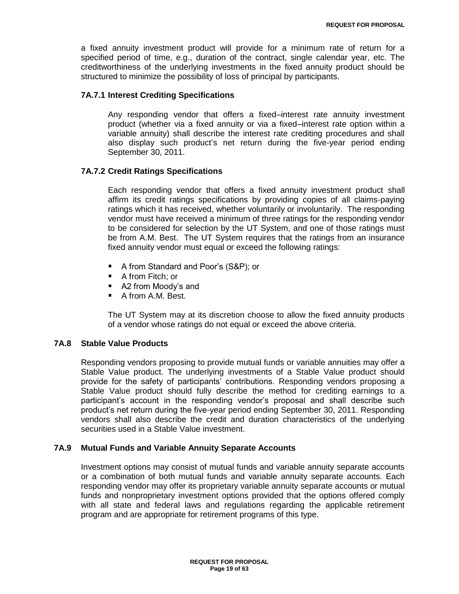a fixed annuity investment product will provide for a minimum rate of return for a specified period of time, e.g., duration of the contract, single calendar year, etc. The creditworthiness of the underlying investments in the fixed annuity product should be structured to minimize the possibility of loss of principal by participants.

## **7A.7.1 Interest Crediting Specifications**

Any responding vendor that offers a fixed–interest rate annuity investment product (whether via a fixed annuity or via a fixed–interest rate option within a variable annuity) shall describe the interest rate crediting procedures and shall also display such product"s net return during the five-year period ending September 30, 2011.

## **7A.7.2 Credit Ratings Specifications**

Each responding vendor that offers a fixed annuity investment product shall affirm its credit ratings specifications by providing copies of all claims-paying ratings which it has received, whether voluntarily or involuntarily. The responding vendor must have received a minimum of three ratings for the responding vendor to be considered for selection by the UT System, and one of those ratings must be from A.M. Best. The UT System requires that the ratings from an insurance fixed annuity vendor must equal or exceed the following ratings:

- A from Standard and Poor's (S&P); or
- A from Fitch; or
- A2 from Moody's and
- A from A.M. Best.

The UT System may at its discretion choose to allow the fixed annuity products of a vendor whose ratings do not equal or exceed the above criteria.

## **7A.8 Stable Value Products**

Responding vendors proposing to provide mutual funds or variable annuities may offer a Stable Value product. The underlying investments of a Stable Value product should provide for the safety of participants" contributions. Responding vendors proposing a Stable Value product should fully describe the method for crediting earnings to a participant"s account in the responding vendor"s proposal and shall describe such product"s net return during the five-year period ending September 30, 2011. Responding vendors shall also describe the credit and duration characteristics of the underlying securities used in a Stable Value investment.

## **7A.9 Mutual Funds and Variable Annuity Separate Accounts**

Investment options may consist of mutual funds and variable annuity separate accounts or a combination of both mutual funds and variable annuity separate accounts. Each responding vendor may offer its proprietary variable annuity separate accounts or mutual funds and nonproprietary investment options provided that the options offered comply with all state and federal laws and regulations regarding the applicable retirement program and are appropriate for retirement programs of this type.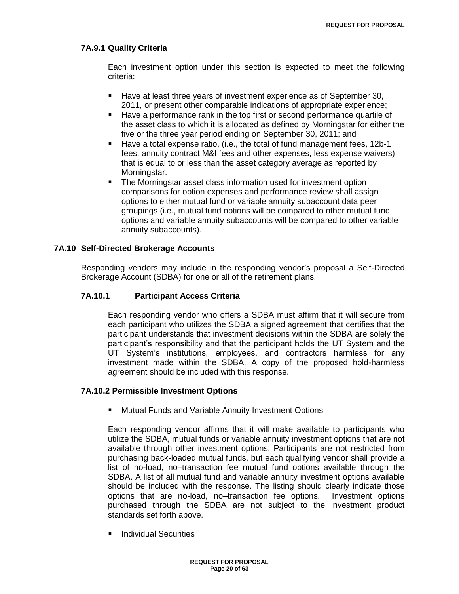## **7A.9.1 Quality Criteria**

Each investment option under this section is expected to meet the following criteria:

- Have at least three years of investment experience as of September 30, 2011, or present other comparable indications of appropriate experience;
- Have a performance rank in the top first or second performance quartile of the asset class to which it is allocated as defined by Morningstar for either the five or the three year period ending on September 30, 2011; and
- Have a total expense ratio, (i.e., the total of fund management fees, 12b-1 fees, annuity contract M&I fees and other expenses, less expense waivers) that is equal to or less than the asset category average as reported by Morningstar.
- **The Morningstar asset class information used for investment option** comparisons for option expenses and performance review shall assign options to either mutual fund or variable annuity subaccount data peer groupings (i.e., mutual fund options will be compared to other mutual fund options and variable annuity subaccounts will be compared to other variable annuity subaccounts).

#### **7A.10 Self-Directed Brokerage Accounts**

Responding vendors may include in the responding vendor"s proposal a Self-Directed Brokerage Account (SDBA) for one or all of the retirement plans.

## **7A.10.1 Participant Access Criteria**

Each responding vendor who offers a SDBA must affirm that it will secure from each participant who utilizes the SDBA a signed agreement that certifies that the participant understands that investment decisions within the SDBA are solely the participant"s responsibility and that the participant holds the UT System and the UT System"s institutions, employees, and contractors harmless for any investment made within the SDBA. A copy of the proposed hold-harmless agreement should be included with this response.

#### **7A.10.2 Permissible Investment Options**

**E** Mutual Funds and Variable Annuity Investment Options

Each responding vendor affirms that it will make available to participants who utilize the SDBA, mutual funds or variable annuity investment options that are not available through other investment options. Participants are not restricted from purchasing back-loaded mutual funds, but each qualifying vendor shall provide a list of no-load, no–transaction fee mutual fund options available through the SDBA. A list of all mutual fund and variable annuity investment options available should be included with the response. The listing should clearly indicate those options that are no-load, no–transaction fee options. Investment options purchased through the SDBA are not subject to the investment product standards set forth above.

**Individual Securities**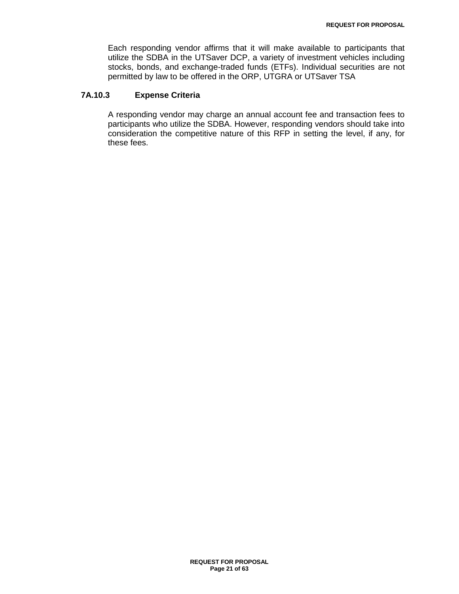Each responding vendor affirms that it will make available to participants that utilize the SDBA in the UTSaver DCP, a variety of investment vehicles including stocks, bonds, and exchange-traded funds (ETFs). Individual securities are not permitted by law to be offered in the ORP, UTGRA or UTSaver TSA

## **7A.10.3 Expense Criteria**

A responding vendor may charge an annual account fee and transaction fees to participants who utilize the SDBA. However, responding vendors should take into consideration the competitive nature of this RFP in setting the level, if any, for these fees.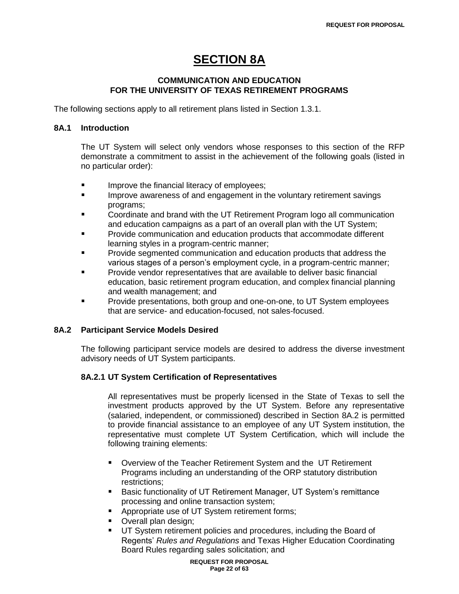# **SECTION 8A**

## **COMMUNICATION AND EDUCATION FOR THE UNIVERSITY OF TEXAS RETIREMENT PROGRAMS**

The following sections apply to all retirement plans listed in Section 1.3.1.

#### **8A.1 Introduction**

The UT System will select only vendors whose responses to this section of the RFP demonstrate a commitment to assist in the achievement of the following goals (listed in no particular order):

- **IMPROVE the financial literacy of employees;**
- **IMPROVE 20.** Improve awareness of and engagement in the voluntary retirement savings programs;
- Coordinate and brand with the UT Retirement Program logo all communication and education campaigns as a part of an overall plan with the UT System;
- Provide communication and education products that accommodate different learning styles in a program-centric manner;
- Provide segmented communication and education products that address the various stages of a person"s employment cycle, in a program-centric manner;
- Provide vendor representatives that are available to deliver basic financial education, basic retirement program education, and complex financial planning and wealth management; and
- Provide presentations, both group and one-on-one, to UT System employees that are service- and education-focused, not sales-focused.

## **8A.2 Participant Service Models Desired**

The following participant service models are desired to address the diverse investment advisory needs of UT System participants.

## **8A.2.1 UT System Certification of Representatives**

All representatives must be properly licensed in the State of Texas to sell the investment products approved by the UT System. Before any representative (salaried, independent, or commissioned) described in Section 8A.2 is permitted to provide financial assistance to an employee of any UT System institution, the representative must complete UT System Certification, which will include the following training elements:

- Overview of the Teacher Retirement System and the UT Retirement Programs including an understanding of the ORP statutory distribution restrictions;
- **Basic functionality of UT Retirement Manager, UT System's remittance** processing and online transaction system;
- Appropriate use of UT System retirement forms;
- **Overall plan design;**
- UT System retirement policies and procedures, including the Board of Regents" *Rules and Regulations* and Texas Higher Education Coordinating Board Rules regarding sales solicitation; and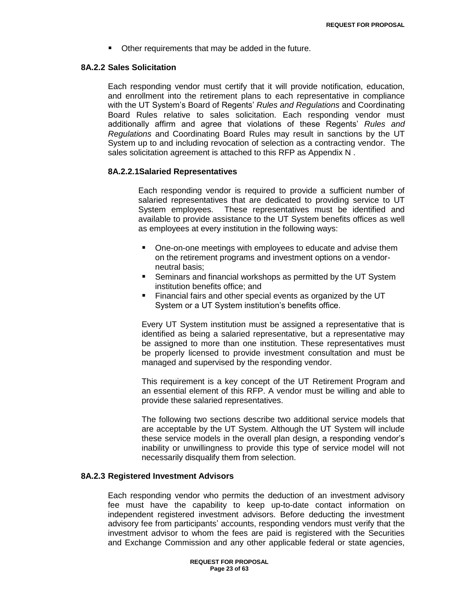Other requirements that may be added in the future.

#### **8A.2.2 Sales Solicitation**

Each responding vendor must certify that it will provide notification, education, and enrollment into the retirement plans to each representative in compliance with the UT System"s Board of Regents" *Rules and Regulations* and Coordinating Board Rules relative to sales solicitation. Each responding vendor must additionally affirm and agree that violations of these Regents" *Rules and Regulations* and Coordinating Board Rules may result in sanctions by the UT System up to and including revocation of selection as a contracting vendor. The sales solicitation agreement is attached to this RFP as Appendix N .

#### **8A.2.2.1Salaried Representatives**

Each responding vendor is required to provide a sufficient number of salaried representatives that are dedicated to providing service to UT System employees. These representatives must be identified and available to provide assistance to the UT System benefits offices as well as employees at every institution in the following ways:

- One-on-one meetings with employees to educate and advise them on the retirement programs and investment options on a vendorneutral basis;
- **Seminars and financial workshops as permitted by the UT System** institution benefits office; and
- Financial fairs and other special events as organized by the UT System or a UT System institution"s benefits office.

Every UT System institution must be assigned a representative that is identified as being a salaried representative, but a representative may be assigned to more than one institution. These representatives must be properly licensed to provide investment consultation and must be managed and supervised by the responding vendor.

This requirement is a key concept of the UT Retirement Program and an essential element of this RFP. A vendor must be willing and able to provide these salaried representatives.

The following two sections describe two additional service models that are acceptable by the UT System. Although the UT System will include these service models in the overall plan design, a responding vendor"s inability or unwillingness to provide this type of service model will not necessarily disqualify them from selection.

#### **8A.2.3 Registered Investment Advisors**

Each responding vendor who permits the deduction of an investment advisory fee must have the capability to keep up-to-date contact information on independent registered investment advisors. Before deducting the investment advisory fee from participants' accounts, responding vendors must verify that the investment advisor to whom the fees are paid is registered with the Securities and Exchange Commission and any other applicable federal or state agencies,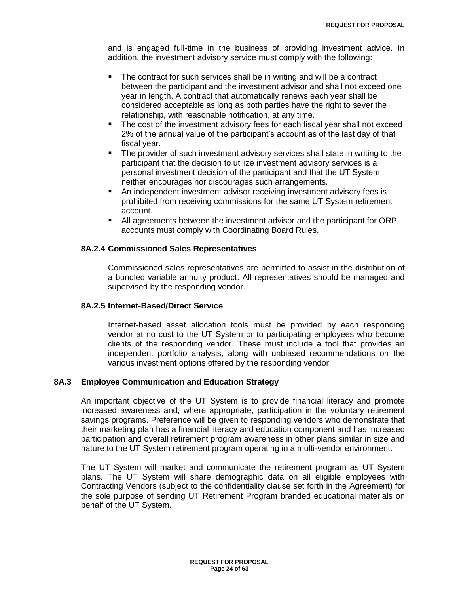and is engaged full-time in the business of providing investment advice. In addition, the investment advisory service must comply with the following:

- The contract for such services shall be in writing and will be a contract between the participant and the investment advisor and shall not exceed one year in length. A contract that automatically renews each year shall be considered acceptable as long as both parties have the right to sever the relationship, with reasonable notification, at any time.
- The cost of the investment advisory fees for each fiscal year shall not exceed 2% of the annual value of the participant"s account as of the last day of that fiscal year.
- The provider of such investment advisory services shall state in writing to the participant that the decision to utilize investment advisory services is a personal investment decision of the participant and that the UT System neither encourages nor discourages such arrangements.
- An independent investment advisor receiving investment advisory fees is prohibited from receiving commissions for the same UT System retirement account.
- All agreements between the investment advisor and the participant for ORP accounts must comply with Coordinating Board Rules.

## **8A.2.4 Commissioned Sales Representatives**

Commissioned sales representatives are permitted to assist in the distribution of a bundled variable annuity product. All representatives should be managed and supervised by the responding vendor.

#### **8A.2.5 Internet-Based/Direct Service**

Internet-based asset allocation tools must be provided by each responding vendor at no cost to the UT System or to participating employees who become clients of the responding vendor. These must include a tool that provides an independent portfolio analysis, along with unbiased recommendations on the various investment options offered by the responding vendor.

## **8A.3 Employee Communication and Education Strategy**

An important objective of the UT System is to provide financial literacy and promote increased awareness and, where appropriate, participation in the voluntary retirement savings programs. Preference will be given to responding vendors who demonstrate that their marketing plan has a financial literacy and education component and has increased participation and overall retirement program awareness in other plans similar in size and nature to the UT System retirement program operating in a multi-vendor environment.

The UT System will market and communicate the retirement program as UT System plans. The UT System will share demographic data on all eligible employees with Contracting Vendors (subject to the confidentiality clause set forth in the Agreement) for the sole purpose of sending UT Retirement Program branded educational materials on behalf of the UT System.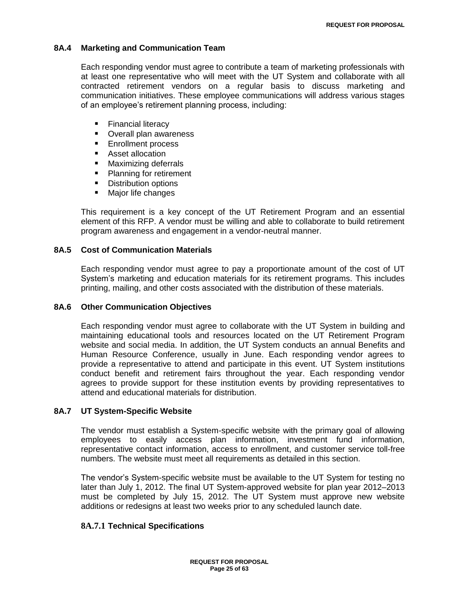#### **8A.4 Marketing and Communication Team**

Each responding vendor must agree to contribute a team of marketing professionals with at least one representative who will meet with the UT System and collaborate with all contracted retirement vendors on a regular basis to discuss marketing and communication initiatives. These employee communications will address various stages of an employee's retirement planning process, including:

- **Financial literacy**
- **•** Overall plan awareness
- **Enrollment process**
- Asset allocation
- **Maximizing deferrals**
- Planning for retirement
- **Distribution options**
- **Major life changes**

This requirement is a key concept of the UT Retirement Program and an essential element of this RFP. A vendor must be willing and able to collaborate to build retirement program awareness and engagement in a vendor-neutral manner.

#### **8A.5 Cost of Communication Materials**

Each responding vendor must agree to pay a proportionate amount of the cost of UT System"s marketing and education materials for its retirement programs. This includes printing, mailing, and other costs associated with the distribution of these materials.

#### **8A.6 Other Communication Objectives**

Each responding vendor must agree to collaborate with the UT System in building and maintaining educational tools and resources located on the UT Retirement Program website and social media. In addition, the UT System conducts an annual Benefits and Human Resource Conference, usually in June. Each responding vendor agrees to provide a representative to attend and participate in this event. UT System institutions conduct benefit and retirement fairs throughout the year. Each responding vendor agrees to provide support for these institution events by providing representatives to attend and educational materials for distribution.

#### **8A.7 UT System-Specific Website**

The vendor must establish a System-specific website with the primary goal of allowing employees to easily access plan information, investment fund information, representative contact information, access to enrollment, and customer service toll-free numbers. The website must meet all requirements as detailed in this section.

The vendor"s System-specific website must be available to the UT System for testing no later than July 1, 2012. The final UT System-approved website for plan year 2012–2013 must be completed by July 15, 2012. The UT System must approve new website additions or redesigns at least two weeks prior to any scheduled launch date.

## **8A.7.1 Technical Specifications**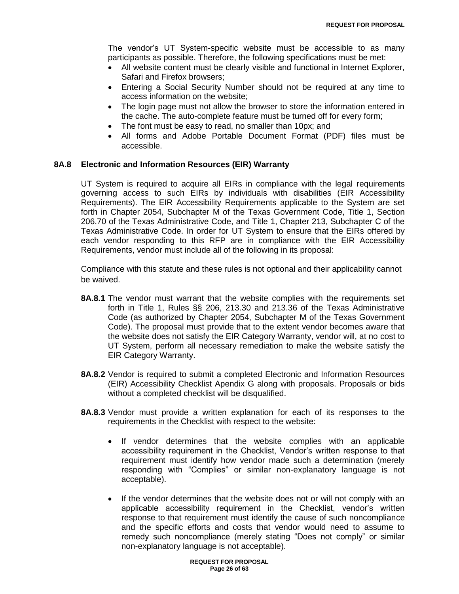The vendor"s UT System-specific website must be accessible to as many participants as possible. Therefore, the following specifications must be met:

- All website content must be clearly visible and functional in Internet Explorer, Safari and Firefox browsers;
- Entering a Social Security Number should not be required at any time to access information on the website;
- The login page must not allow the browser to store the information entered in the cache. The auto-complete feature must be turned off for every form;
- The font must be easy to read, no smaller than 10px; and
- All forms and Adobe Portable Document Format (PDF) files must be accessible.

## **8A.8 Electronic and Information Resources (EIR) Warranty**

UT System is required to acquire all EIRs in compliance with the legal requirements governing access to such EIRs by individuals with disabilities (EIR Accessibility Requirements). The EIR Accessibility Requirements applicable to the System are set forth in Chapter 2054, Subchapter M of the Texas Government Code, Title 1, Section 206.70 of the Texas Administrative Code, and Title 1, Chapter 213, Subchapter C of the Texas Administrative Code. In order for UT System to ensure that the EIRs offered by each vendor responding to this RFP are in compliance with the EIR Accessibility Requirements, vendor must include all of the following in its proposal:

Compliance with this statute and these rules is not optional and their applicability cannot be waived.

- **8A.8.1** The vendor must warrant that the website complies with the requirements set forth in Title 1, Rules §§ 206, 213.30 and 213.36 of the Texas Administrative Code (as authorized by Chapter 2054, Subchapter M of the Texas Government Code). The proposal must provide that to the extent vendor becomes aware that the website does not satisfy the EIR Category Warranty, vendor will, at no cost to UT System, perform all necessary remediation to make the website satisfy the EIR Category Warranty.
- **8A.8.2** Vendor is required to submit a completed Electronic and Information Resources (EIR) Accessibility Checklist Apendix G along with proposals. Proposals or bids without a completed checklist will be disqualified.
- **8A.8.3** Vendor must provide a written explanation for each of its responses to the requirements in the Checklist with respect to the website:
	- If vendor determines that the website complies with an applicable accessibility requirement in the Checklist, Vendor"s written response to that requirement must identify how vendor made such a determination (merely responding with "Complies" or similar non-explanatory language is not acceptable).
	- If the vendor determines that the website does not or will not comply with an applicable accessibility requirement in the Checklist, vendor"s written response to that requirement must identify the cause of such noncompliance and the specific efforts and costs that vendor would need to assume to remedy such noncompliance (merely stating "Does not comply" or similar non-explanatory language is not acceptable).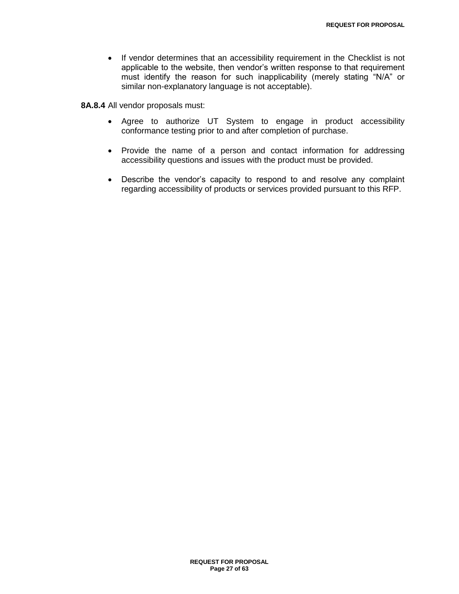• If vendor determines that an accessibility requirement in the Checklist is not applicable to the website, then vendor"s written response to that requirement must identify the reason for such inapplicability (merely stating "N/A" or similar non-explanatory language is not acceptable).

**8A.8.4** All vendor proposals must:

- Agree to authorize UT System to engage in product accessibility conformance testing prior to and after completion of purchase.
- Provide the name of a person and contact information for addressing accessibility questions and issues with the product must be provided.
- Describe the vendor"s capacity to respond to and resolve any complaint regarding accessibility of products or services provided pursuant to this RFP.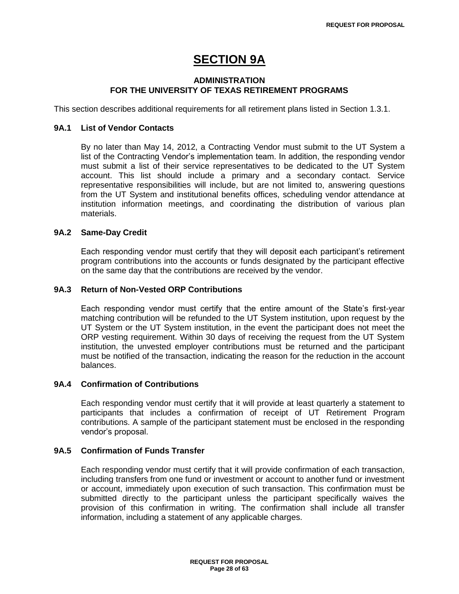# **SECTION 9A**

## **ADMINISTRATION FOR THE UNIVERSITY OF TEXAS RETIREMENT PROGRAMS**

This section describes additional requirements for all retirement plans listed in Section 1.3.1.

## **9A.1 List of Vendor Contacts**

By no later than May 14, 2012, a Contracting Vendor must submit to the UT System a list of the Contracting Vendor's implementation team. In addition, the responding vendor must submit a list of their service representatives to be dedicated to the UT System account. This list should include a primary and a secondary contact. Service representative responsibilities will include, but are not limited to, answering questions from the UT System and institutional benefits offices, scheduling vendor attendance at institution information meetings, and coordinating the distribution of various plan materials.

#### **9A.2 Same-Day Credit**

Each responding vendor must certify that they will deposit each participant's retirement program contributions into the accounts or funds designated by the participant effective on the same day that the contributions are received by the vendor.

#### **9A.3 Return of Non-Vested ORP Contributions**

Each responding vendor must certify that the entire amount of the State's first-year matching contribution will be refunded to the UT System institution, upon request by the UT System or the UT System institution, in the event the participant does not meet the ORP vesting requirement. Within 30 days of receiving the request from the UT System institution, the unvested employer contributions must be returned and the participant must be notified of the transaction, indicating the reason for the reduction in the account balances.

## **9A.4 Confirmation of Contributions**

Each responding vendor must certify that it will provide at least quarterly a statement to participants that includes a confirmation of receipt of UT Retirement Program contributions. A sample of the participant statement must be enclosed in the responding vendor"s proposal.

## **9A.5 Confirmation of Funds Transfer**

Each responding vendor must certify that it will provide confirmation of each transaction, including transfers from one fund or investment or account to another fund or investment or account, immediately upon execution of such transaction. This confirmation must be submitted directly to the participant unless the participant specifically waives the provision of this confirmation in writing. The confirmation shall include all transfer information, including a statement of any applicable charges.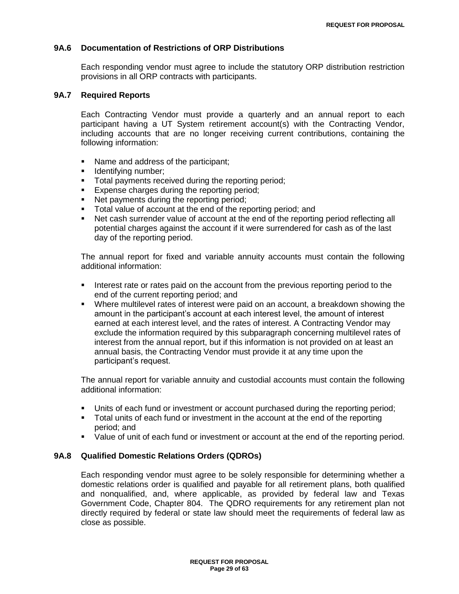#### **9A.6 Documentation of Restrictions of ORP Distributions**

Each responding vendor must agree to include the statutory ORP distribution restriction provisions in all ORP contracts with participants.

#### **9A.7 Required Reports**

Each Contracting Vendor must provide a quarterly and an annual report to each participant having a UT System retirement account(s) with the Contracting Vendor, including accounts that are no longer receiving current contributions, containing the following information:

- Name and address of the participant:
- **I** Identifying number;
- **Total payments received during the reporting period;**
- **Expense charges during the reporting period;**
- Net payments during the reporting period;
- Total value of account at the end of the reporting period; and
- Net cash surrender value of account at the end of the reporting period reflecting all potential charges against the account if it were surrendered for cash as of the last day of the reporting period.

The annual report for fixed and variable annuity accounts must contain the following additional information:

- **Interest rate or rates paid on the account from the previous reporting period to the** end of the current reporting period; and
- Where multilevel rates of interest were paid on an account, a breakdown showing the amount in the participant"s account at each interest level, the amount of interest earned at each interest level, and the rates of interest. A Contracting Vendor may exclude the information required by this subparagraph concerning multilevel rates of interest from the annual report, but if this information is not provided on at least an annual basis, the Contracting Vendor must provide it at any time upon the participant"s request.

The annual report for variable annuity and custodial accounts must contain the following additional information:

- Units of each fund or investment or account purchased during the reporting period;
- Total units of each fund or investment in the account at the end of the reporting period; and
- Value of unit of each fund or investment or account at the end of the reporting period.

#### **9A.8 Qualified Domestic Relations Orders (QDROs)**

Each responding vendor must agree to be solely responsible for determining whether a domestic relations order is qualified and payable for all retirement plans, both qualified and nonqualified, and, where applicable, as provided by federal law and Texas Government Code, Chapter 804. The QDRO requirements for any retirement plan not directly required by federal or state law should meet the requirements of federal law as close as possible.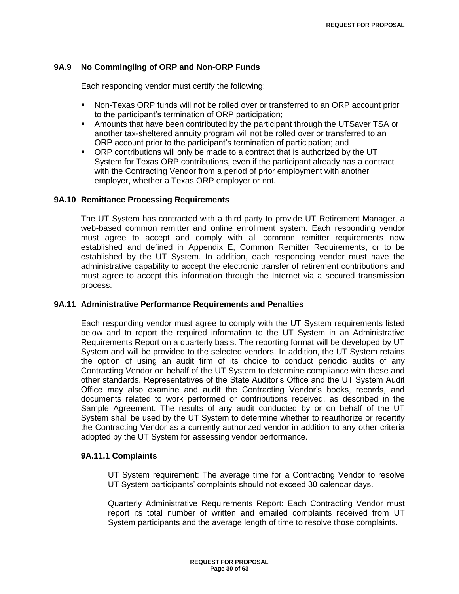## **9A.9 No Commingling of ORP and Non-ORP Funds**

Each responding vendor must certify the following:

- Non-Texas ORP funds will not be rolled over or transferred to an ORP account prior to the participant"s termination of ORP participation;
- Amounts that have been contributed by the participant through the UTSaver TSA or another tax-sheltered annuity program will not be rolled over or transferred to an ORP account prior to the participant"s termination of participation; and
- ORP contributions will only be made to a contract that is authorized by the UT System for Texas ORP contributions, even if the participant already has a contract with the Contracting Vendor from a period of prior employment with another employer, whether a Texas ORP employer or not.

#### **9A.10 Remittance Processing Requirements**

The UT System has contracted with a third party to provide UT Retirement Manager, a web-based common remitter and online enrollment system. Each responding vendor must agree to accept and comply with all common remitter requirements now established and defined in Appendix E, Common Remitter Requirements, or to be established by the UT System. In addition, each responding vendor must have the administrative capability to accept the electronic transfer of retirement contributions and must agree to accept this information through the Internet via a secured transmission process.

#### **9A.11 Administrative Performance Requirements and Penalties**

Each responding vendor must agree to comply with the UT System requirements listed below and to report the required information to the UT System in an Administrative Requirements Report on a quarterly basis. The reporting format will be developed by UT System and will be provided to the selected vendors. In addition, the UT System retains the option of using an audit firm of its choice to conduct periodic audits of any Contracting Vendor on behalf of the UT System to determine compliance with these and other standards. Representatives of the State Auditor"s Office and the UT System Audit Office may also examine and audit the Contracting Vendor"s books, records, and documents related to work performed or contributions received, as described in the Sample Agreement. The results of any audit conducted by or on behalf of the UT System shall be used by the UT System to determine whether to reauthorize or recertify the Contracting Vendor as a currently authorized vendor in addition to any other criteria adopted by the UT System for assessing vendor performance.

## **9A.11.1 Complaints**

UT System requirement: The average time for a Contracting Vendor to resolve UT System participants" complaints should not exceed 30 calendar days.

Quarterly Administrative Requirements Report: Each Contracting Vendor must report its total number of written and emailed complaints received from UT System participants and the average length of time to resolve those complaints.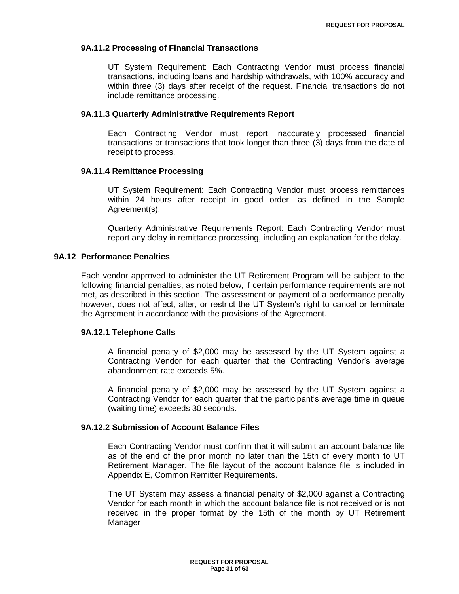#### **9A.11.2 Processing of Financial Transactions**

UT System Requirement: Each Contracting Vendor must process financial transactions, including loans and hardship withdrawals, with 100% accuracy and within three (3) days after receipt of the request. Financial transactions do not include remittance processing.

#### **9A.11.3 Quarterly Administrative Requirements Report**

Each Contracting Vendor must report inaccurately processed financial transactions or transactions that took longer than three (3) days from the date of receipt to process.

#### **9A.11.4 Remittance Processing**

UT System Requirement: Each Contracting Vendor must process remittances within 24 hours after receipt in good order, as defined in the Sample Agreement(s).

Quarterly Administrative Requirements Report: Each Contracting Vendor must report any delay in remittance processing, including an explanation for the delay.

## **9A.12 Performance Penalties**

Each vendor approved to administer the UT Retirement Program will be subject to the following financial penalties, as noted below, if certain performance requirements are not met, as described in this section. The assessment or payment of a performance penalty however, does not affect, alter, or restrict the UT System's right to cancel or terminate the Agreement in accordance with the provisions of the Agreement.

#### **9A.12.1 Telephone Calls**

A financial penalty of \$2,000 may be assessed by the UT System against a Contracting Vendor for each quarter that the Contracting Vendor"s average abandonment rate exceeds 5%.

A financial penalty of \$2,000 may be assessed by the UT System against a Contracting Vendor for each quarter that the participant"s average time in queue (waiting time) exceeds 30 seconds.

### **9A.12.2 Submission of Account Balance Files**

Each Contracting Vendor must confirm that it will submit an account balance file as of the end of the prior month no later than the 15th of every month to UT Retirement Manager. The file layout of the account balance file is included in Appendix E, Common Remitter Requirements.

The UT System may assess a financial penalty of \$2,000 against a Contracting Vendor for each month in which the account balance file is not received or is not received in the proper format by the 15th of the month by UT Retirement Manager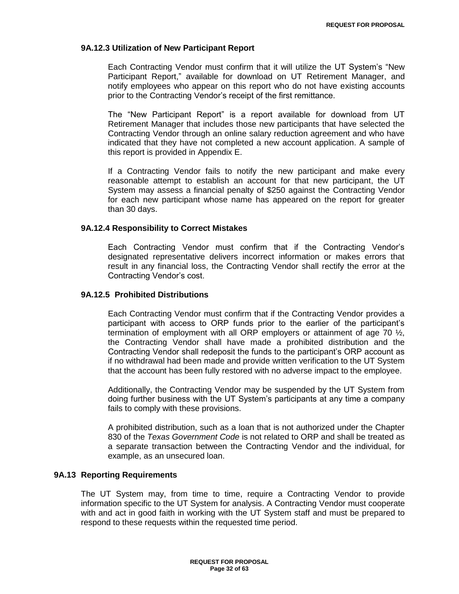#### **9A.12.3 Utilization of New Participant Report**

Each Contracting Vendor must confirm that it will utilize the UT System"s "New Participant Report," available for download on UT Retirement Manager, and notify employees who appear on this report who do not have existing accounts prior to the Contracting Vendor"s receipt of the first remittance.

The "New Participant Report" is a report available for download from UT Retirement Manager that includes those new participants that have selected the Contracting Vendor through an online salary reduction agreement and who have indicated that they have not completed a new account application. A sample of this report is provided in Appendix E.

If a Contracting Vendor fails to notify the new participant and make every reasonable attempt to establish an account for that new participant, the UT System may assess a financial penalty of \$250 against the Contracting Vendor for each new participant whose name has appeared on the report for greater than 30 days.

### **9A.12.4 Responsibility to Correct Mistakes**

Each Contracting Vendor must confirm that if the Contracting Vendor"s designated representative delivers incorrect information or makes errors that result in any financial loss, the Contracting Vendor shall rectify the error at the Contracting Vendor"s cost.

#### **9A.12.5 Prohibited Distributions**

Each Contracting Vendor must confirm that if the Contracting Vendor provides a participant with access to ORP funds prior to the earlier of the participant"s termination of employment with all ORP employers or attainment of age 70  $\frac{1}{2}$ , the Contracting Vendor shall have made a prohibited distribution and the Contracting Vendor shall redeposit the funds to the participant"s ORP account as if no withdrawal had been made and provide written verification to the UT System that the account has been fully restored with no adverse impact to the employee.

Additionally, the Contracting Vendor may be suspended by the UT System from doing further business with the UT System"s participants at any time a company fails to comply with these provisions.

A prohibited distribution, such as a loan that is not authorized under the Chapter 830 of the *Texas Government Code* is not related to ORP and shall be treated as a separate transaction between the Contracting Vendor and the individual, for example, as an unsecured loan.

### **9A.13 Reporting Requirements**

The UT System may, from time to time, require a Contracting Vendor to provide information specific to the UT System for analysis. A Contracting Vendor must cooperate with and act in good faith in working with the UT System staff and must be prepared to respond to these requests within the requested time period.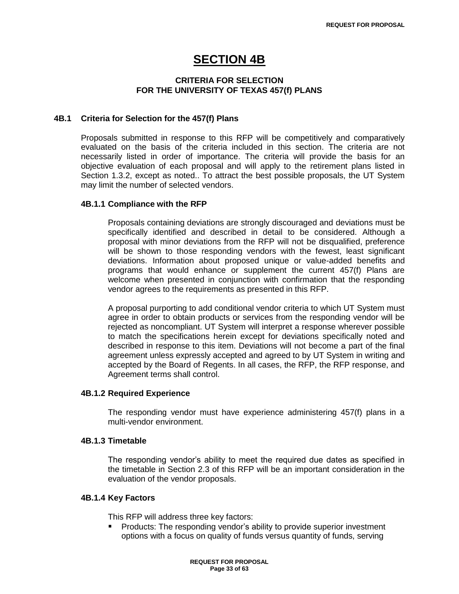## **SECTION 4B**

## **CRITERIA FOR SELECTION FOR THE UNIVERSITY OF TEXAS 457(f) PLANS**

### **4B.1 Criteria for Selection for the 457(f) Plans**

Proposals submitted in response to this RFP will be competitively and comparatively evaluated on the basis of the criteria included in this section. The criteria are not necessarily listed in order of importance. The criteria will provide the basis for an objective evaluation of each proposal and will apply to the retirement plans listed in Section 1.3.2, except as noted.. To attract the best possible proposals, the UT System may limit the number of selected vendors.

#### **4B.1.1 Compliance with the RFP**

Proposals containing deviations are strongly discouraged and deviations must be specifically identified and described in detail to be considered. Although a proposal with minor deviations from the RFP will not be disqualified, preference will be shown to those responding vendors with the fewest, least significant deviations. Information about proposed unique or value-added benefits and programs that would enhance or supplement the current 457(f) Plans are welcome when presented in conjunction with confirmation that the responding vendor agrees to the requirements as presented in this RFP.

A proposal purporting to add conditional vendor criteria to which UT System must agree in order to obtain products or services from the responding vendor will be rejected as noncompliant. UT System will interpret a response wherever possible to match the specifications herein except for deviations specifically noted and described in response to this item. Deviations will not become a part of the final agreement unless expressly accepted and agreed to by UT System in writing and accepted by the Board of Regents. In all cases, the RFP, the RFP response, and Agreement terms shall control.

#### **4B.1.2 Required Experience**

The responding vendor must have experience administering 457(f) plans in a multi-vendor environment.

#### **4B.1.3 Timetable**

The responding vendor"s ability to meet the required due dates as specified in the timetable in Section 2.3 of this RFP will be an important consideration in the evaluation of the vendor proposals.

#### **4B.1.4 Key Factors**

This RFP will address three key factors:

**Products: The responding vendor's ability to provide superior investment** options with a focus on quality of funds versus quantity of funds, serving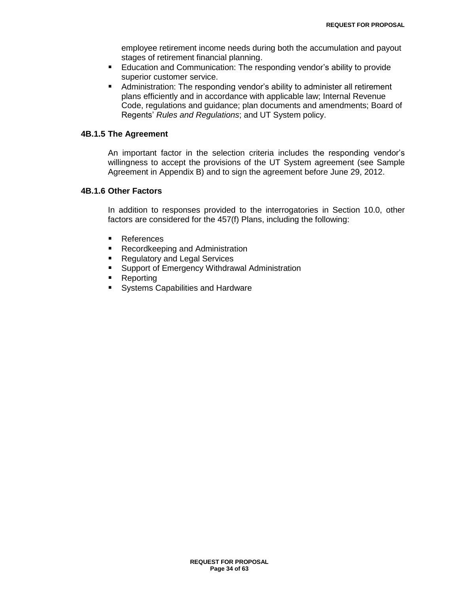employee retirement income needs during both the accumulation and payout stages of retirement financial planning.

- Education and Communication: The responding vendor"s ability to provide superior customer service.
- Administration: The responding vendor"s ability to administer all retirement plans efficiently and in accordance with applicable law; Internal Revenue Code, regulations and guidance; plan documents and amendments; Board of Regents" *Rules and Regulations*; and UT System policy.

#### **4B.1.5 The Agreement**

An important factor in the selection criteria includes the responding vendor"s willingness to accept the provisions of the UT System agreement (see Sample Agreement in Appendix B) and to sign the agreement before June 29, 2012.

## **4B.1.6 Other Factors**

In addition to responses provided to the interrogatories in Section 10.0, other factors are considered for the 457(f) Plans, including the following:

- **References**
- Recordkeeping and Administration
- Regulatory and Legal Services
- **Support of Emergency Withdrawal Administration**
- Reporting
- **Systems Capabilities and Hardware**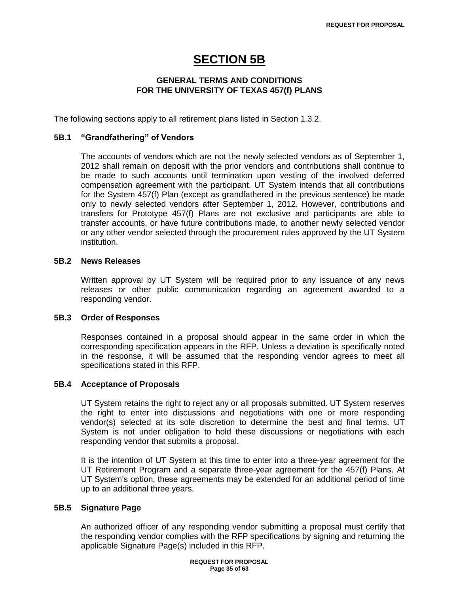# **SECTION 5B**

## **GENERAL TERMS AND CONDITIONS FOR THE UNIVERSITY OF TEXAS 457(f) PLANS**

The following sections apply to all retirement plans listed in Section 1.3.2.

### **5B.1 "Grandfathering" of Vendors**

The accounts of vendors which are not the newly selected vendors as of September 1, 2012 shall remain on deposit with the prior vendors and contributions shall continue to be made to such accounts until termination upon vesting of the involved deferred compensation agreement with the participant. UT System intends that all contributions for the System 457(f) Plan (except as grandfathered in the previous sentence) be made only to newly selected vendors after September 1, 2012. However, contributions and transfers for Prototype 457(f) Plans are not exclusive and participants are able to transfer accounts, or have future contributions made, to another newly selected vendor or any other vendor selected through the procurement rules approved by the UT System institution.

## **5B.2 News Releases**

Written approval by UT System will be required prior to any issuance of any news releases or other public communication regarding an agreement awarded to a responding vendor.

#### **5B.3 Order of Responses**

Responses contained in a proposal should appear in the same order in which the corresponding specification appears in the RFP. Unless a deviation is specifically noted in the response, it will be assumed that the responding vendor agrees to meet all specifications stated in this RFP.

#### **5B.4 Acceptance of Proposals**

UT System retains the right to reject any or all proposals submitted. UT System reserves the right to enter into discussions and negotiations with one or more responding vendor(s) selected at its sole discretion to determine the best and final terms. UT System is not under obligation to hold these discussions or negotiations with each responding vendor that submits a proposal.

It is the intention of UT System at this time to enter into a three-year agreement for the UT Retirement Program and a separate three-year agreement for the 457(f) Plans. At UT System"s option, these agreements may be extended for an additional period of time up to an additional three years.

## **5B.5 Signature Page**

An authorized officer of any responding vendor submitting a proposal must certify that the responding vendor complies with the RFP specifications by signing and returning the applicable Signature Page(s) included in this RFP.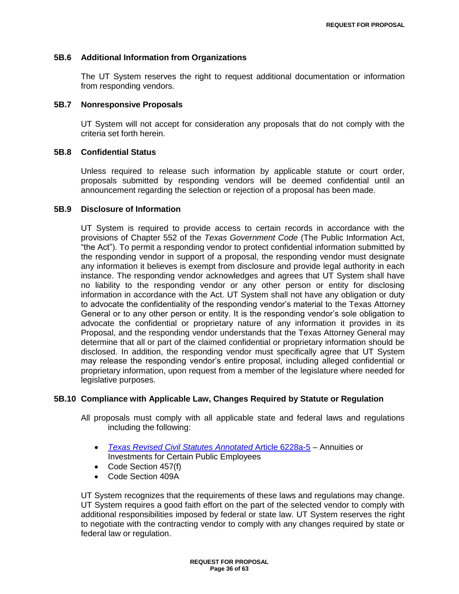#### **5B.6 Additional Information from Organizations**

The UT System reserves the right to request additional documentation or information from responding vendors.

#### **5B.7 Nonresponsive Proposals**

UT System will not accept for consideration any proposals that do not comply with the criteria set forth herein.

## **5B.8 Confidential Status**

Unless required to release such information by applicable statute or court order, proposals submitted by responding vendors will be deemed confidential until an announcement regarding the selection or rejection of a proposal has been made.

#### **5B.9 Disclosure of Information**

UT System is required to provide access to certain records in accordance with the provisions of Chapter 552 of the *Texas Government Code* (The Public Information Act, "the Act"). To permit a responding vendor to protect confidential information submitted by the responding vendor in support of a proposal, the responding vendor must designate any information it believes is exempt from disclosure and provide legal authority in each instance. The responding vendor acknowledges and agrees that UT System shall have no liability to the responding vendor or any other person or entity for disclosing information in accordance with the Act. UT System shall not have any obligation or duty to advocate the confidentiality of the responding vendor"s material to the Texas Attorney General or to any other person or entity. It is the responding vendor"s sole obligation to advocate the confidential or proprietary nature of any information it provides in its Proposal, and the responding vendor understands that the Texas Attorney General may determine that all or part of the claimed confidential or proprietary information should be disclosed. In addition, the responding vendor must specifically agree that UT System may release the responding vendor"s entire proposal, including alleged confidential or proprietary information, upon request from a member of the legislature where needed for legislative purposes.

#### **5B.10 Compliance with Applicable Law, Changes Required by Statute or Regulation**

All proposals must comply with all applicable state and federal laws and regulations including the following:

- *[Texas Revised Civil Statutes](http://www.statutes.legis.state.tx.us/Docs/CV/htm/CV.109.0.htm#6228a-5) Annotated* Article 6228a-5 Annuities or Investments for Certain Public Employees
- Code Section 457(f)
- Code Section 409A

UT System recognizes that the requirements of these laws and regulations may change. UT System requires a good faith effort on the part of the selected vendor to comply with additional responsibilities imposed by federal or state law. UT System reserves the right to negotiate with the contracting vendor to comply with any changes required by state or federal law or regulation.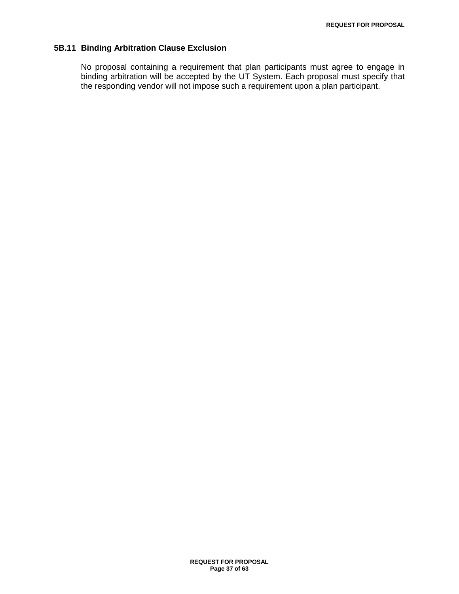## **5B.11 Binding Arbitration Clause Exclusion**

No proposal containing a requirement that plan participants must agree to engage in binding arbitration will be accepted by the UT System. Each proposal must specify that the responding vendor will not impose such a requirement upon a plan participant.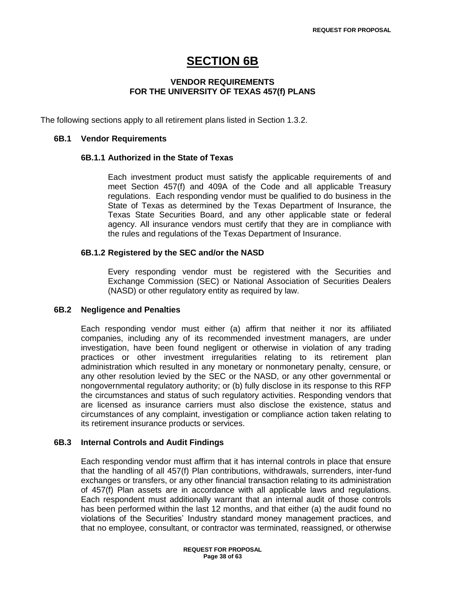# **SECTION 6B**

## **VENDOR REQUIREMENTS FOR THE UNIVERSITY OF TEXAS 457(f) PLANS**

The following sections apply to all retirement plans listed in Section 1.3.2.

### **6B.1 Vendor Requirements**

#### **6B.1.1 Authorized in the State of Texas**

Each investment product must satisfy the applicable requirements of and meet Section 457(f) and 409A of the Code and all applicable Treasury regulations. Each responding vendor must be qualified to do business in the State of Texas as determined by the Texas Department of Insurance, the Texas State Securities Board, and any other applicable state or federal agency. All insurance vendors must certify that they are in compliance with the rules and regulations of the Texas Department of Insurance.

## **6B.1.2 Registered by the SEC and/or the NASD**

Every responding vendor must be registered with the Securities and Exchange Commission (SEC) or National Association of Securities Dealers (NASD) or other regulatory entity as required by law.

#### **6B.2 Negligence and Penalties**

Each responding vendor must either (a) affirm that neither it nor its affiliated companies, including any of its recommended investment managers, are under investigation, have been found negligent or otherwise in violation of any trading practices or other investment irregularities relating to its retirement plan administration which resulted in any monetary or nonmonetary penalty, censure, or any other resolution levied by the SEC or the NASD, or any other governmental or nongovernmental regulatory authority; or (b) fully disclose in its response to this RFP the circumstances and status of such regulatory activities. Responding vendors that are licensed as insurance carriers must also disclose the existence, status and circumstances of any complaint, investigation or compliance action taken relating to its retirement insurance products or services.

## **6B.3 Internal Controls and Audit Findings**

Each responding vendor must affirm that it has internal controls in place that ensure that the handling of all 457(f) Plan contributions, withdrawals, surrenders, inter-fund exchanges or transfers, or any other financial transaction relating to its administration of 457(f) Plan assets are in accordance with all applicable laws and regulations. Each respondent must additionally warrant that an internal audit of those controls has been performed within the last 12 months, and that either (a) the audit found no violations of the Securities" Industry standard money management practices, and that no employee, consultant, or contractor was terminated, reassigned, or otherwise

> **REQUEST FOR PROPOSAL Page 38 of 63**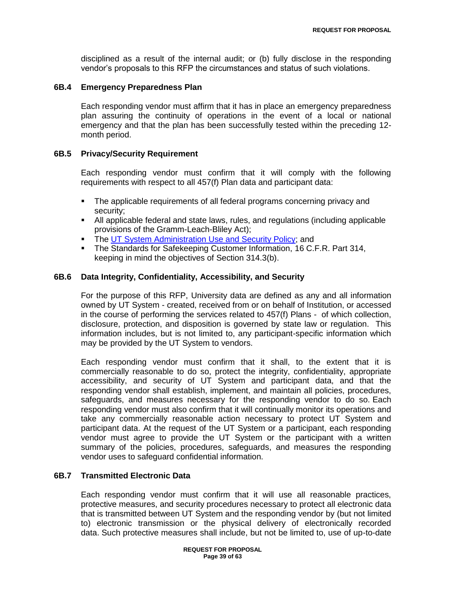disciplined as a result of the internal audit; or (b) fully disclose in the responding vendor"s proposals to this RFP the circumstances and status of such violations.

## **6B.4 Emergency Preparedness Plan**

Each responding vendor must affirm that it has in place an emergency preparedness plan assuring the continuity of operations in the event of a local or national emergency and that the plan has been successfully tested within the preceding 12 month period.

## **6B.5 Privacy/Security Requirement**

Each responding vendor must confirm that it will comply with the following requirements with respect to all 457(f) Plan data and participant data:

- The applicable requirements of all federal programs concerning privacy and security;
- All applicable federal and state laws, rules, and regulations (including applicable provisions of the Gramm-Leach-Bliley Act);
- The [UT System Administration Use and Security Policy;](http://www.utsystem.edu/bor/procedures/policy/policies/uts165.html) and
- The Standards for Safekeeping Customer Information, 16 C.F.R. Part 314, keeping in mind the objectives of Section 314.3(b).

## **6B.6 Data Integrity, Confidentiality, Accessibility, and Security**

For the purpose of this RFP, University data are defined as any and all information owned by UT System - created, received from or on behalf of Institution, or accessed in the course of performing the services related to 457(f) Plans - of which collection, disclosure, protection, and disposition is governed by state law or regulation. This information includes, but is not limited to, any participant-specific information which may be provided by the UT System to vendors.

Each responding vendor must confirm that it shall, to the extent that it is commercially reasonable to do so, protect the integrity, confidentiality, appropriate accessibility, and security of UT System and participant data, and that the responding vendor shall establish, implement, and maintain all policies, procedures, safeguards, and measures necessary for the responding vendor to do so. Each responding vendor must also confirm that it will continually monitor its operations and take any commercially reasonable action necessary to protect UT System and participant data. At the request of the UT System or a participant, each responding vendor must agree to provide the UT System or the participant with a written summary of the policies, procedures, safeguards, and measures the responding vendor uses to safeguard confidential information.

## **6B.7 Transmitted Electronic Data**

Each responding vendor must confirm that it will use all reasonable practices, protective measures, and security procedures necessary to protect all electronic data that is transmitted between UT System and the responding vendor by (but not limited to) electronic transmission or the physical delivery of electronically recorded data. Such protective measures shall include, but not be limited to, use of up-to-date

> **REQUEST FOR PROPOSAL Page 39 of 63**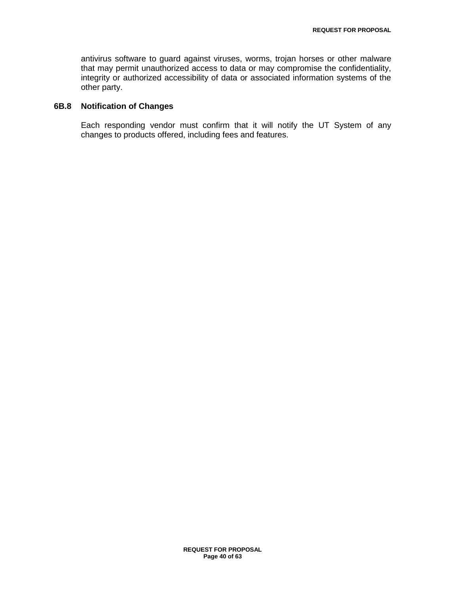antivirus software to guard against viruses, worms, trojan horses or other malware that may permit unauthorized access to data or may compromise the confidentiality, integrity or authorized accessibility of data or associated information systems of the other party.

## **6B.8 Notification of Changes**

Each responding vendor must confirm that it will notify the UT System of any changes to products offered, including fees and features.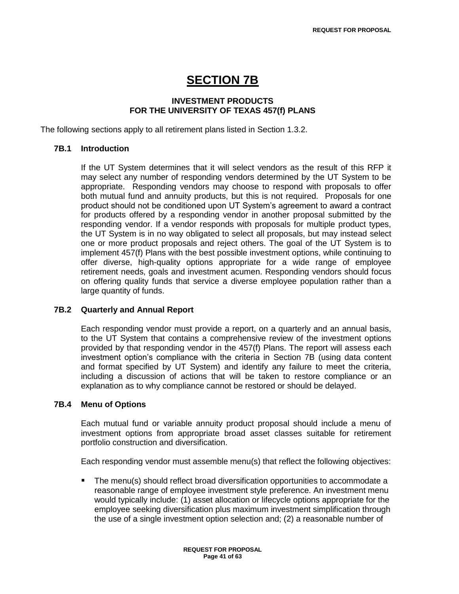# **SECTION 7B**

## **INVESTMENT PRODUCTS FOR THE UNIVERSITY OF TEXAS 457(f) PLANS**

The following sections apply to all retirement plans listed in Section 1.3.2.

## **7B.1 Introduction**

If the UT System determines that it will select vendors as the result of this RFP it may select any number of responding vendors determined by the UT System to be appropriate. Responding vendors may choose to respond with proposals to offer both mutual fund and annuity products, but this is not required. Proposals for one product should not be conditioned upon UT System"s agreement to award a contract for products offered by a responding vendor in another proposal submitted by the responding vendor. If a vendor responds with proposals for multiple product types, the UT System is in no way obligated to select all proposals, but may instead select one or more product proposals and reject others. The goal of the UT System is to implement 457(f) Plans with the best possible investment options, while continuing to offer diverse, high-quality options appropriate for a wide range of employee retirement needs, goals and investment acumen. Responding vendors should focus on offering quality funds that service a diverse employee population rather than a large quantity of funds.

## **7B.2 Quarterly and Annual Report**

Each responding vendor must provide a report, on a quarterly and an annual basis, to the UT System that contains a comprehensive review of the investment options provided by that responding vendor in the 457(f) Plans. The report will assess each investment option"s compliance with the criteria in Section 7B (using data content and format specified by UT System) and identify any failure to meet the criteria, including a discussion of actions that will be taken to restore compliance or an explanation as to why compliance cannot be restored or should be delayed.

## **7B.4 Menu of Options**

Each mutual fund or variable annuity product proposal should include a menu of investment options from appropriate broad asset classes suitable for retirement portfolio construction and diversification.

Each responding vendor must assemble menu(s) that reflect the following objectives:

**The menu(s) should reflect broad diversification opportunities to accommodate a** reasonable range of employee investment style preference. An investment menu would typically include: (1) asset allocation or lifecycle options appropriate for the employee seeking diversification plus maximum investment simplification through the use of a single investment option selection and; (2) a reasonable number of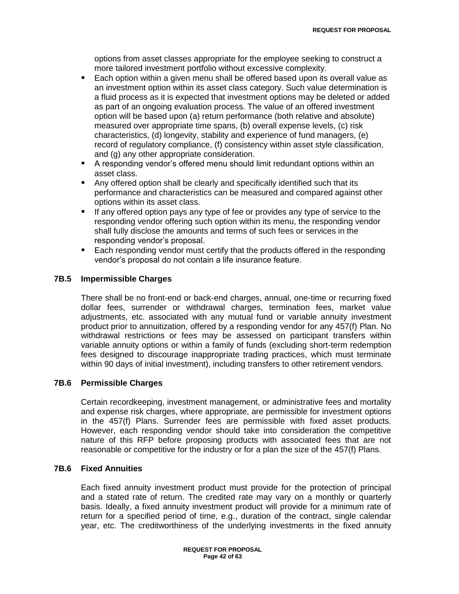options from asset classes appropriate for the employee seeking to construct a more tailored investment portfolio without excessive complexity.

- Each option within a given menu shall be offered based upon its overall value as an investment option within its asset class category. Such value determination is a fluid process as it is expected that investment options may be deleted or added as part of an ongoing evaluation process. The value of an offered investment option will be based upon (a) return performance (both relative and absolute) measured over appropriate time spans, (b) overall expense levels, (c) risk characteristics, (d) longevity, stability and experience of fund managers, (e) record of regulatory compliance, (f) consistency within asset style classification, and (g) any other appropriate consideration.
- A responding vendor"s offered menu should limit redundant options within an asset class.
- Any offered option shall be clearly and specifically identified such that its performance and characteristics can be measured and compared against other options within its asset class.
- If any offered option pays any type of fee or provides any type of service to the responding vendor offering such option within its menu, the responding vendor shall fully disclose the amounts and terms of such fees or services in the responding vendor"s proposal.
- Each responding vendor must certify that the products offered in the responding vendor"s proposal do not contain a life insurance feature.

## **7B.5 Impermissible Charges**

There shall be no front-end or back-end charges, annual, one-time or recurring fixed dollar fees, surrender or withdrawal charges, termination fees, market value adjustments, etc. associated with any mutual fund or variable annuity investment product prior to annuitization, offered by a responding vendor for any 457(f) Plan. No withdrawal restrictions or fees may be assessed on participant transfers within variable annuity options or within a family of funds (excluding short-term redemption fees designed to discourage inappropriate trading practices, which must terminate within 90 days of initial investment), including transfers to other retirement vendors.

## **7B.6 Permissible Charges**

Certain recordkeeping, investment management, or administrative fees and mortality and expense risk charges, where appropriate, are permissible for investment options in the 457(f) Plans. Surrender fees are permissible with fixed asset products. However, each responding vendor should take into consideration the competitive nature of this RFP before proposing products with associated fees that are not reasonable or competitive for the industry or for a plan the size of the 457(f) Plans.

## **7B.6 Fixed Annuities**

Each fixed annuity investment product must provide for the protection of principal and a stated rate of return. The credited rate may vary on a monthly or quarterly basis. Ideally, a fixed annuity investment product will provide for a minimum rate of return for a specified period of time, e.g., duration of the contract, single calendar year, etc. The creditworthiness of the underlying investments in the fixed annuity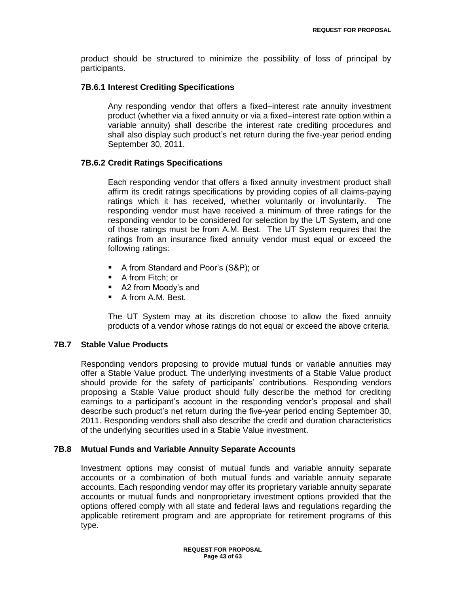product should be structured to minimize the possibility of loss of principal by participants.

## **7B.6.1 Interest Crediting Specifications**

Any responding vendor that offers a fixed–interest rate annuity investment product (whether via a fixed annuity or via a fixed–interest rate option within a variable annuity) shall describe the interest rate crediting procedures and shall also display such product"s net return during the five-year period ending September 30, 2011.

## **7B.6.2 Credit Ratings Specifications**

Each responding vendor that offers a fixed annuity investment product shall affirm its credit ratings specifications by providing copies of all claims-paying ratings which it has received, whether voluntarily or involuntarily. The responding vendor must have received a minimum of three ratings for the responding vendor to be considered for selection by the UT System, and one of those ratings must be from A.M. Best. The UT System requires that the ratings from an insurance fixed annuity vendor must equal or exceed the following ratings:

- A from Standard and Poor's (S&P); or
- A from Fitch: or
- A2 from Moody's and
- A from A.M. Best.

The UT System may at its discretion choose to allow the fixed annuity products of a vendor whose ratings do not equal or exceed the above criteria.

## **7B.7 Stable Value Products**

Responding vendors proposing to provide mutual funds or variable annuities may offer a Stable Value product. The underlying investments of a Stable Value product should provide for the safety of participants" contributions. Responding vendors proposing a Stable Value product should fully describe the method for crediting earnings to a participant's account in the responding vendor's proposal and shall describe such product"s net return during the five-year period ending September 30, 2011. Responding vendors shall also describe the credit and duration characteristics of the underlying securities used in a Stable Value investment.

## **7B.8 Mutual Funds and Variable Annuity Separate Accounts**

Investment options may consist of mutual funds and variable annuity separate accounts or a combination of both mutual funds and variable annuity separate accounts. Each responding vendor may offer its proprietary variable annuity separate accounts or mutual funds and nonproprietary investment options provided that the options offered comply with all state and federal laws and regulations regarding the applicable retirement program and are appropriate for retirement programs of this type.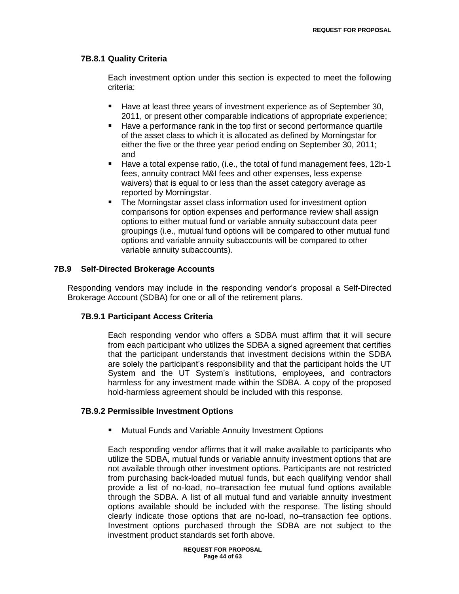## **7B.8.1 Quality Criteria**

Each investment option under this section is expected to meet the following criteria:

- Have at least three years of investment experience as of September 30, 2011, or present other comparable indications of appropriate experience;
- Have a performance rank in the top first or second performance quartile of the asset class to which it is allocated as defined by Morningstar for either the five or the three year period ending on September 30, 2011; and
- Have a total expense ratio, (i.e., the total of fund management fees, 12b-1 fees, annuity contract M&I fees and other expenses, less expense waivers) that is equal to or less than the asset category average as reported by Morningstar.
- The Morningstar asset class information used for investment option comparisons for option expenses and performance review shall assign options to either mutual fund or variable annuity subaccount data peer groupings (i.e., mutual fund options will be compared to other mutual fund options and variable annuity subaccounts will be compared to other variable annuity subaccounts).

## **7B.9 Self-Directed Brokerage Accounts**

Responding vendors may include in the responding vendor"s proposal a Self-Directed Brokerage Account (SDBA) for one or all of the retirement plans.

## **7B.9.1 Participant Access Criteria**

Each responding vendor who offers a SDBA must affirm that it will secure from each participant who utilizes the SDBA a signed agreement that certifies that the participant understands that investment decisions within the SDBA are solely the participant"s responsibility and that the participant holds the UT System and the UT System"s institutions, employees, and contractors harmless for any investment made within the SDBA. A copy of the proposed hold-harmless agreement should be included with this response.

## **7B.9.2 Permissible Investment Options**

**Mutual Funds and Variable Annuity Investment Options** 

Each responding vendor affirms that it will make available to participants who utilize the SDBA, mutual funds or variable annuity investment options that are not available through other investment options. Participants are not restricted from purchasing back-loaded mutual funds, but each qualifying vendor shall provide a list of no-load, no–transaction fee mutual fund options available through the SDBA. A list of all mutual fund and variable annuity investment options available should be included with the response. The listing should clearly indicate those options that are no-load, no–transaction fee options. Investment options purchased through the SDBA are not subject to the investment product standards set forth above.

> **REQUEST FOR PROPOSAL Page 44 of 63**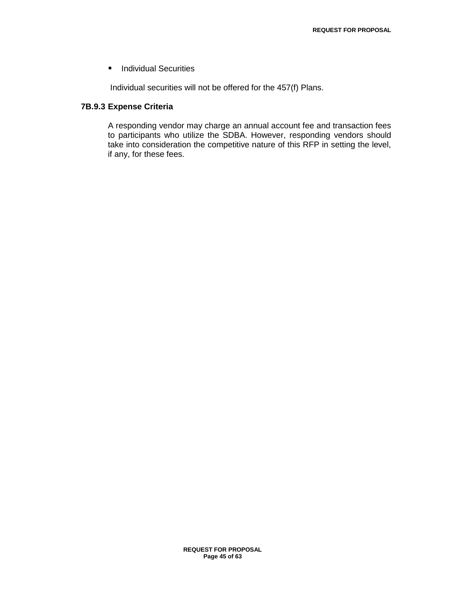**Individual Securities** 

Individual securities will not be offered for the 457(f) Plans.

## **7B.9.3 Expense Criteria**

A responding vendor may charge an annual account fee and transaction fees to participants who utilize the SDBA. However, responding vendors should take into consideration the competitive nature of this RFP in setting the level, if any, for these fees.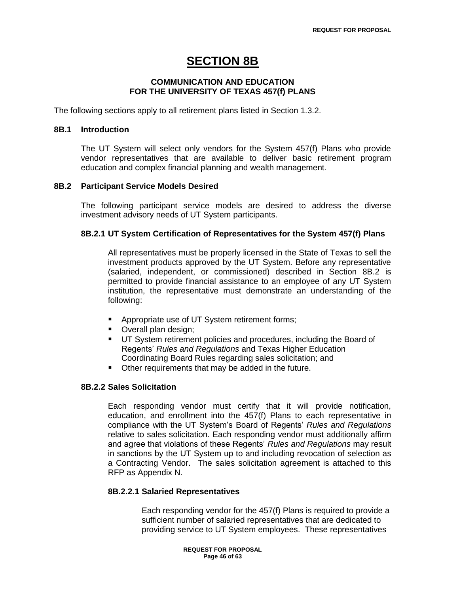# **SECTION 8B**

## **COMMUNICATION AND EDUCATION FOR THE UNIVERSITY OF TEXAS 457(f) PLANS**

The following sections apply to all retirement plans listed in Section 1.3.2.

### **8B.1 Introduction**

The UT System will select only vendors for the System 457(f) Plans who provide vendor representatives that are available to deliver basic retirement program education and complex financial planning and wealth management.

## **8B.2 Participant Service Models Desired**

The following participant service models are desired to address the diverse investment advisory needs of UT System participants.

## **8B.2.1 UT System Certification of Representatives for the System 457(f) Plans**

All representatives must be properly licensed in the State of Texas to sell the investment products approved by the UT System. Before any representative (salaried, independent, or commissioned) described in Section 8B.2 is permitted to provide financial assistance to an employee of any UT System institution, the representative must demonstrate an understanding of the following:

- Appropriate use of UT System retirement forms;
- **Overall plan design;**
- **UT System retirement policies and procedures, including the Board of** Regents" *Rules and Regulations* and Texas Higher Education Coordinating Board Rules regarding sales solicitation; and
- Other requirements that may be added in the future.

## **8B.2.2 Sales Solicitation**

Each responding vendor must certify that it will provide notification, education, and enrollment into the 457(f) Plans to each representative in compliance with the UT System"s Board of Regents" *Rules and Regulations* relative to sales solicitation. Each responding vendor must additionally affirm and agree that violations of these Regents" *Rules and Regulations* may result in sanctions by the UT System up to and including revocation of selection as a Contracting Vendor. The sales solicitation agreement is attached to this RFP as Appendix N.

## **8B.2.2.1 Salaried Representatives**

Each responding vendor for the 457(f) Plans is required to provide a sufficient number of salaried representatives that are dedicated to providing service to UT System employees. These representatives

> **REQUEST FOR PROPOSAL Page 46 of 63**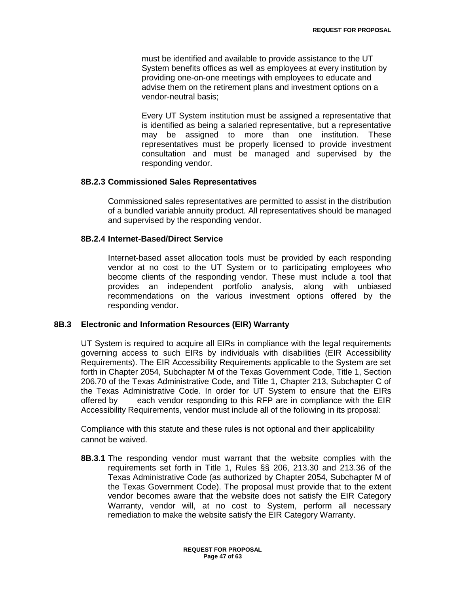must be identified and available to provide assistance to the UT System benefits offices as well as employees at every institution by providing one-on-one meetings with employees to educate and advise them on the retirement plans and investment options on a vendor-neutral basis;

Every UT System institution must be assigned a representative that is identified as being a salaried representative, but a representative may be assigned to more than one institution. These representatives must be properly licensed to provide investment consultation and must be managed and supervised by the responding vendor.

## **8B.2.3 Commissioned Sales Representatives**

Commissioned sales representatives are permitted to assist in the distribution of a bundled variable annuity product. All representatives should be managed and supervised by the responding vendor.

## **8B.2.4 Internet-Based/Direct Service**

Internet-based asset allocation tools must be provided by each responding vendor at no cost to the UT System or to participating employees who become clients of the responding vendor. These must include a tool that provides an independent portfolio analysis, along with unbiased recommendations on the various investment options offered by the responding vendor.

## **8B.3 Electronic and Information Resources (EIR) Warranty**

UT System is required to acquire all EIRs in compliance with the legal requirements governing access to such EIRs by individuals with disabilities (EIR Accessibility Requirements). The EIR Accessibility Requirements applicable to the System are set forth in Chapter 2054, Subchapter M of the Texas Government Code, Title 1, Section 206.70 of the Texas Administrative Code, and Title 1, Chapter 213, Subchapter C of the Texas Administrative Code. In order for UT System to ensure that the EIRs offered by each vendor responding to this RFP are in compliance with the EIR Accessibility Requirements, vendor must include all of the following in its proposal:

Compliance with this statute and these rules is not optional and their applicability cannot be waived.

**8B.3.1** The responding vendor must warrant that the website complies with the requirements set forth in Title 1, Rules §§ 206, 213.30 and 213.36 of the Texas Administrative Code (as authorized by Chapter 2054, Subchapter M of the Texas Government Code). The proposal must provide that to the extent vendor becomes aware that the website does not satisfy the EIR Category Warranty, vendor will, at no cost to System, perform all necessary remediation to make the website satisfy the EIR Category Warranty.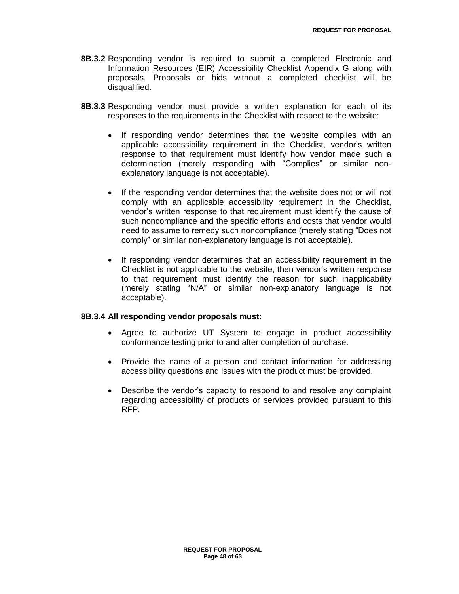- **8B.3.2** Responding vendor is required to submit a completed Electronic and Information Resources (EIR) Accessibility Checklist Appendix G along with proposals. Proposals or bids without a completed checklist will be disqualified.
- **8B.3.3** Responding vendor must provide a written explanation for each of its responses to the requirements in the Checklist with respect to the website:
	- If responding vendor determines that the website complies with an applicable accessibility requirement in the Checklist, vendor"s written response to that requirement must identify how vendor made such a determination (merely responding with "Complies" or similar nonexplanatory language is not acceptable).
	- If the responding vendor determines that the website does not or will not comply with an applicable accessibility requirement in the Checklist, vendor"s written response to that requirement must identify the cause of such noncompliance and the specific efforts and costs that vendor would need to assume to remedy such noncompliance (merely stating "Does not comply" or similar non-explanatory language is not acceptable).
	- If responding vendor determines that an accessibility requirement in the Checklist is not applicable to the website, then vendor"s written response to that requirement must identify the reason for such inapplicability (merely stating "N/A" or similar non-explanatory language is not acceptable).

## **8B.3.4 All responding vendor proposals must:**

- Agree to authorize UT System to engage in product accessibility conformance testing prior to and after completion of purchase.
- Provide the name of a person and contact information for addressing accessibility questions and issues with the product must be provided.
- Describe the vendor"s capacity to respond to and resolve any complaint regarding accessibility of products or services provided pursuant to this RFP.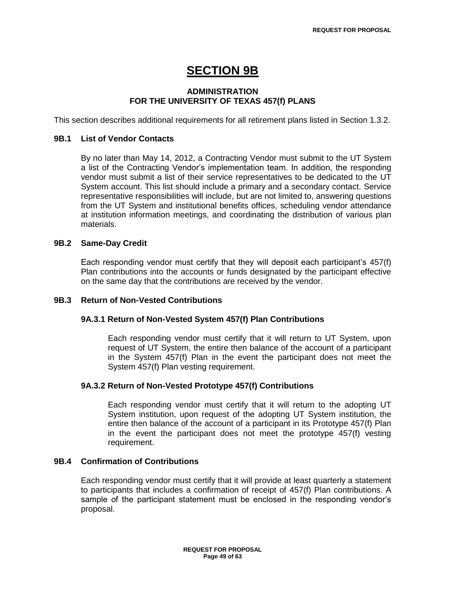# **SECTION 9B**

## **ADMINISTRATION FOR THE UNIVERSITY OF TEXAS 457(f) PLANS**

This section describes additional requirements for all retirement plans listed in Section 1.3.2.

### **9B.1 List of Vendor Contacts**

By no later than May 14, 2012, a Contracting Vendor must submit to the UT System a list of the Contracting Vendor"s implementation team. In addition, the responding vendor must submit a list of their service representatives to be dedicated to the UT System account. This list should include a primary and a secondary contact. Service representative responsibilities will include, but are not limited to, answering questions from the UT System and institutional benefits offices, scheduling vendor attendance at institution information meetings, and coordinating the distribution of various plan materials.

## **9B.2 Same-Day Credit**

Each responding vendor must certify that they will deposit each participant"s 457(f) Plan contributions into the accounts or funds designated by the participant effective on the same day that the contributions are received by the vendor.

#### **9B.3 Return of Non-Vested Contributions**

## **9A.3.1 Return of Non-Vested System 457(f) Plan Contributions**

Each responding vendor must certify that it will return to UT System, upon request of UT System, the entire then balance of the account of a participant in the System 457(f) Plan in the event the participant does not meet the System 457(f) Plan vesting requirement.

## **9A.3.2 Return of Non-Vested Prototype 457(f) Contributions**

Each responding vendor must certify that it will return to the adopting UT System institution, upon request of the adopting UT System institution, the entire then balance of the account of a participant in its Prototype 457(f) Plan in the event the participant does not meet the prototype 457(f) vesting requirement.

#### **9B.4 Confirmation of Contributions**

Each responding vendor must certify that it will provide at least quarterly a statement to participants that includes a confirmation of receipt of 457(f) Plan contributions. A sample of the participant statement must be enclosed in the responding vendor's proposal.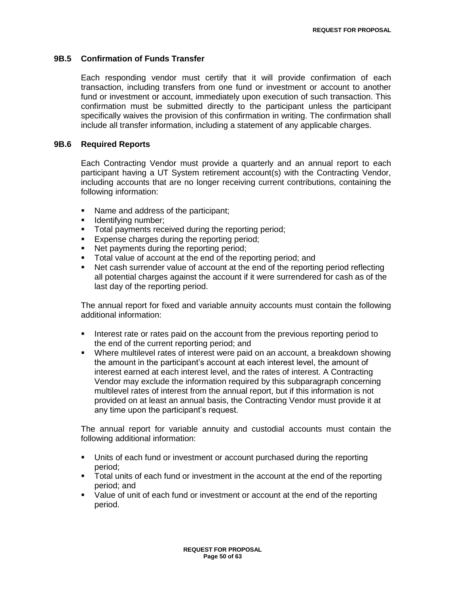## **9B.5 Confirmation of Funds Transfer**

Each responding vendor must certify that it will provide confirmation of each transaction, including transfers from one fund or investment or account to another fund or investment or account, immediately upon execution of such transaction. This confirmation must be submitted directly to the participant unless the participant specifically waives the provision of this confirmation in writing. The confirmation shall include all transfer information, including a statement of any applicable charges.

## **9B.6 Required Reports**

Each Contracting Vendor must provide a quarterly and an annual report to each participant having a UT System retirement account(s) with the Contracting Vendor, including accounts that are no longer receiving current contributions, containing the following information:

- Name and address of the participant;
- **I** Identifying number;
- **Total payments received during the reporting period;**
- **Expense charges during the reporting period;**
- Net payments during the reporting period;
- Total value of account at the end of the reporting period; and
- Net cash surrender value of account at the end of the reporting period reflecting all potential charges against the account if it were surrendered for cash as of the last day of the reporting period.

The annual report for fixed and variable annuity accounts must contain the following additional information:

- Interest rate or rates paid on the account from the previous reporting period to the end of the current reporting period; and
- Where multilevel rates of interest were paid on an account, a breakdown showing the amount in the participant"s account at each interest level, the amount of interest earned at each interest level, and the rates of interest. A Contracting Vendor may exclude the information required by this subparagraph concerning multilevel rates of interest from the annual report, but if this information is not provided on at least an annual basis, the Contracting Vendor must provide it at any time upon the participant's request.

The annual report for variable annuity and custodial accounts must contain the following additional information:

- Units of each fund or investment or account purchased during the reporting period;
- Total units of each fund or investment in the account at the end of the reporting period; and
- **Value of unit of each fund or investment or account at the end of the reporting** period.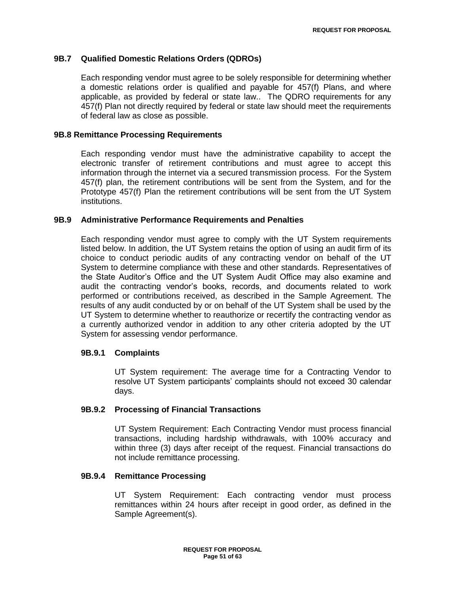## **9B.7 Qualified Domestic Relations Orders (QDROs)**

Each responding vendor must agree to be solely responsible for determining whether a domestic relations order is qualified and payable for 457(f) Plans, and where applicable, as provided by federal or state law.. The QDRO requirements for any 457(f) Plan not directly required by federal or state law should meet the requirements of federal law as close as possible.

## **9B.8 Remittance Processing Requirements**

Each responding vendor must have the administrative capability to accept the electronic transfer of retirement contributions and must agree to accept this information through the internet via a secured transmission process. For the System 457(f) plan, the retirement contributions will be sent from the System, and for the Prototype 457(f) Plan the retirement contributions will be sent from the UT System institutions.

## **9B.9 Administrative Performance Requirements and Penalties**

Each responding vendor must agree to comply with the UT System requirements listed below. In addition, the UT System retains the option of using an audit firm of its choice to conduct periodic audits of any contracting vendor on behalf of the UT System to determine compliance with these and other standards. Representatives of the State Auditor"s Office and the UT System Audit Office may also examine and audit the contracting vendor"s books, records, and documents related to work performed or contributions received, as described in the Sample Agreement. The results of any audit conducted by or on behalf of the UT System shall be used by the UT System to determine whether to reauthorize or recertify the contracting vendor as a currently authorized vendor in addition to any other criteria adopted by the UT System for assessing vendor performance.

## **9B.9.1 Complaints**

UT System requirement: The average time for a Contracting Vendor to resolve UT System participants" complaints should not exceed 30 calendar days.

## **9B.9.2 Processing of Financial Transactions**

UT System Requirement: Each Contracting Vendor must process financial transactions, including hardship withdrawals, with 100% accuracy and within three (3) days after receipt of the request. Financial transactions do not include remittance processing.

## **9B.9.4 Remittance Processing**

UT System Requirement: Each contracting vendor must process remittances within 24 hours after receipt in good order, as defined in the Sample Agreement(s).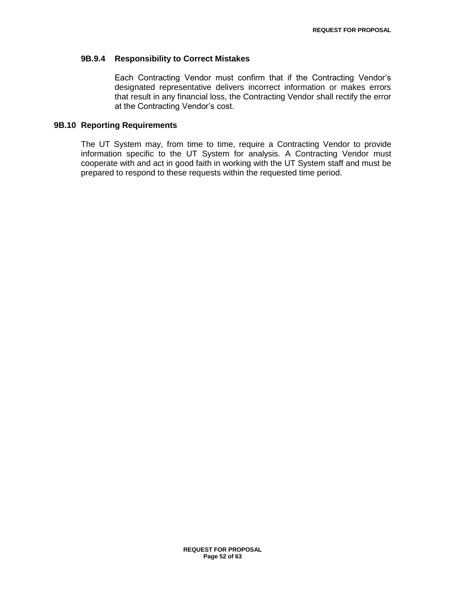## **9B.9.4 Responsibility to Correct Mistakes**

Each Contracting Vendor must confirm that if the Contracting Vendor"s designated representative delivers incorrect information or makes errors that result in any financial loss, the Contracting Vendor shall rectify the error at the Contracting Vendor"s cost.

## **9B.10 Reporting Requirements**

The UT System may, from time to time, require a Contracting Vendor to provide information specific to the UT System for analysis. A Contracting Vendor must cooperate with and act in good faith in working with the UT System staff and must be prepared to respond to these requests within the requested time period.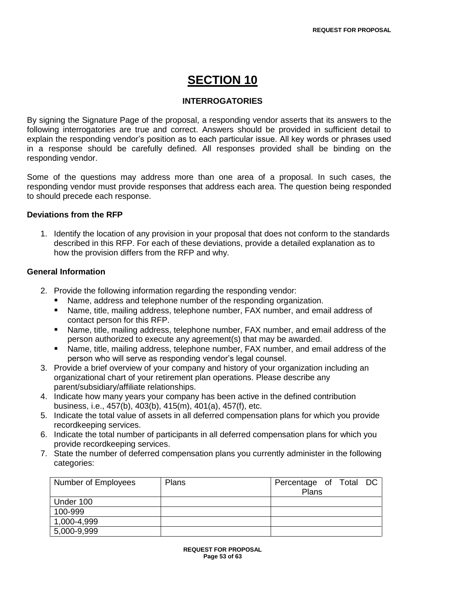# **SECTION 10**

## **INTERROGATORIES**

By signing the Signature Page of the proposal, a responding vendor asserts that its answers to the following interrogatories are true and correct. Answers should be provided in sufficient detail to explain the responding vendor"s position as to each particular issue. All key words or phrases used in a response should be carefully defined. All responses provided shall be binding on the responding vendor.

Some of the questions may address more than one area of a proposal. In such cases, the responding vendor must provide responses that address each area. The question being responded to should precede each response.

## **Deviations from the RFP**

1. Identify the location of any provision in your proposal that does not conform to the standards described in this RFP. For each of these deviations, provide a detailed explanation as to how the provision differs from the RFP and why.

## **General Information**

- 2. Provide the following information regarding the responding vendor:
	- Name, address and telephone number of the responding organization.
	- Name, title, mailing address, telephone number, FAX number, and email address of contact person for this RFP.
	- Name, title, mailing address, telephone number, FAX number, and email address of the person authorized to execute any agreement(s) that may be awarded.
	- Name, title, mailing address, telephone number, FAX number, and email address of the person who will serve as responding vendor"s legal counsel.
- 3. Provide a brief overview of your company and history of your organization including an organizational chart of your retirement plan operations. Please describe any parent/subsidiary/affiliate relationships.
- 4. Indicate how many years your company has been active in the defined contribution business, i.e., 457(b), 403(b), 415(m), 401(a), 457(f), etc.
- 5. Indicate the total value of assets in all deferred compensation plans for which you provide recordkeeping services.
- 6. Indicate the total number of participants in all deferred compensation plans for which you provide recordkeeping services.
- 7. State the number of deferred compensation plans you currently administer in the following categories:

| Number of Employees | Plans | Percentage of Total DC<br>Plans |
|---------------------|-------|---------------------------------|
| Under 100           |       |                                 |
| 100-999             |       |                                 |
| 1,000-4,999         |       |                                 |
| 5,000-9,999         |       |                                 |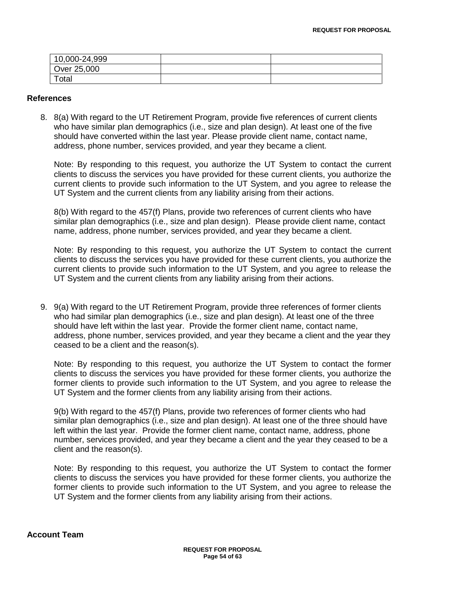| 10,000-24,999 |  |
|---------------|--|
| Over 25,000   |  |
| Total         |  |

## **References**

8. 8(a) With regard to the UT Retirement Program, provide five references of current clients who have similar plan demographics (i.e., size and plan design). At least one of the five should have converted within the last year. Please provide client name, contact name, address, phone number, services provided, and year they became a client.

Note: By responding to this request, you authorize the UT System to contact the current clients to discuss the services you have provided for these current clients, you authorize the current clients to provide such information to the UT System, and you agree to release the UT System and the current clients from any liability arising from their actions.

8(b) With regard to the 457(f) Plans, provide two references of current clients who have similar plan demographics (i.e., size and plan design). Please provide client name, contact name, address, phone number, services provided, and year they became a client.

Note: By responding to this request, you authorize the UT System to contact the current clients to discuss the services you have provided for these current clients, you authorize the current clients to provide such information to the UT System, and you agree to release the UT System and the current clients from any liability arising from their actions.

9. 9(a) With regard to the UT Retirement Program, provide three references of former clients who had similar plan demographics (i.e., size and plan design). At least one of the three should have left within the last year. Provide the former client name, contact name, address, phone number, services provided, and year they became a client and the year they ceased to be a client and the reason(s).

Note: By responding to this request, you authorize the UT System to contact the former clients to discuss the services you have provided for these former clients, you authorize the former clients to provide such information to the UT System, and you agree to release the UT System and the former clients from any liability arising from their actions.

9(b) With regard to the 457(f) Plans, provide two references of former clients who had similar plan demographics (i.e., size and plan design). At least one of the three should have left within the last year. Provide the former client name, contact name, address, phone number, services provided, and year they became a client and the year they ceased to be a client and the reason(s).

Note: By responding to this request, you authorize the UT System to contact the former clients to discuss the services you have provided for these former clients, you authorize the former clients to provide such information to the UT System, and you agree to release the UT System and the former clients from any liability arising from their actions.

## **Account Team**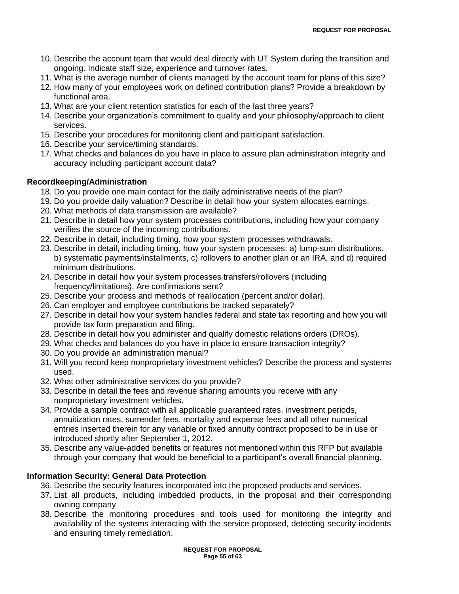- 10. Describe the account team that would deal directly with UT System during the transition and ongoing. Indicate staff size, experience and turnover rates.
- 11. What is the average number of clients managed by the account team for plans of this size?
- 12. How many of your employees work on defined contribution plans? Provide a breakdown by functional area.
- 13. What are your client retention statistics for each of the last three years?
- 14. Describe your organization"s commitment to quality and your philosophy/approach to client services.
- 15. Describe your procedures for monitoring client and participant satisfaction.
- 16. Describe your service/timing standards.
- 17. What checks and balances do you have in place to assure plan administration integrity and accuracy including participant account data?

## **Recordkeeping/Administration**

- 18. Do you provide one main contact for the daily administrative needs of the plan?
- 19. Do you provide daily valuation? Describe in detail how your system allocates earnings.
- 20. What methods of data transmission are available?
- 21. Describe in detail how your system processes contributions, including how your company verifies the source of the incoming contributions.
- 22. Describe in detail, including timing, how your system processes withdrawals.
- 23. Describe in detail, including timing, how your system processes: a) lump-sum distributions, b) systematic payments/installments, c) rollovers to another plan or an IRA, and d) required minimum distributions.
- 24. Describe in detail how your system processes transfers/rollovers (including frequency/limitations). Are confirmations sent?
- 25. Describe your process and methods of reallocation (percent and/or dollar).
- 26. Can employer and employee contributions be tracked separately?
- 27. Describe in detail how your system handles federal and state tax reporting and how you will provide tax form preparation and filing.
- 28. Describe in detail how you administer and qualify domestic relations orders (DROs).
- 29. What checks and balances do you have in place to ensure transaction integrity?
- 30. Do you provide an administration manual?
- 31. Will you record keep nonproprietary investment vehicles? Describe the process and systems used.
- 32. What other administrative services do you provide?
- 33. Describe in detail the fees and revenue sharing amounts you receive with any nonproprietary investment vehicles.
- 34. Provide a sample contract with all applicable guaranteed rates, investment periods, annuitization rates, surrender fees, mortality and expense fees and all other numerical entries inserted therein for any variable or fixed annuity contract proposed to be in use or introduced shortly after September 1, 2012.
- 35. Describe any value-added benefits or features not mentioned within this RFP but available through your company that would be beneficial to a participant"s overall financial planning.

## **Information Security: General Data Protection**

- 36. Describe the security features incorporated into the proposed products and services.
- 37. List all products, including imbedded products, in the proposal and their corresponding owning company
- 38. Describe the monitoring procedures and tools used for monitoring the integrity and availability of the systems interacting with the service proposed, detecting security incidents and ensuring timely remediation.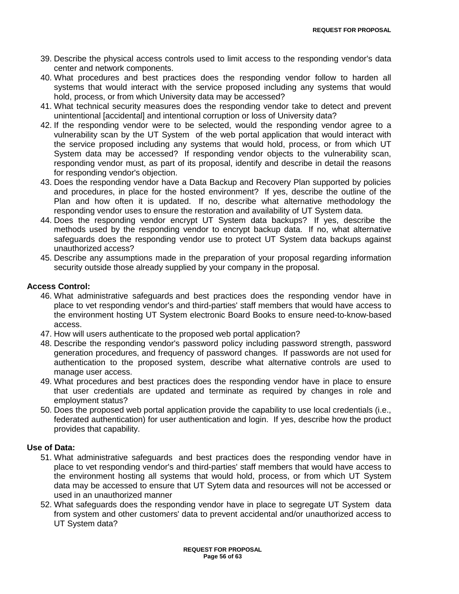- 39. Describe the physical access controls used to limit access to the responding vendor's data center and network components.
- 40. What procedures and best practices does the responding vendor follow to harden all systems that would interact with the service proposed including any systems that would hold, process, or from which University data may be accessed?
- 41. What technical security measures does the responding vendor take to detect and prevent unintentional [accidental] and intentional corruption or loss of University data?
- 42. If the responding vendor were to be selected, would the responding vendor agree to a vulnerability scan by the UT System of the web portal application that would interact with the service proposed including any systems that would hold, process, or from which UT System data may be accessed? If responding vendor objects to the vulnerability scan, responding vendor must, as part of its proposal, identify and describe in detail the reasons for responding vendor's objection.
- 43. Does the responding vendor have a Data Backup and Recovery Plan supported by policies and procedures, in place for the hosted environment? If yes, describe the outline of the Plan and how often it is updated. If no, describe what alternative methodology the responding vendor uses to ensure the restoration and availability of UT System data.
- 44. Does the responding vendor encrypt UT System data backups? If yes, describe the methods used by the responding vendor to encrypt backup data. If no, what alternative safeguards does the responding vendor use to protect UT System data backups against unauthorized access?
- 45. Describe any assumptions made in the preparation of your proposal regarding information security outside those already supplied by your company in the proposal.

## **Access Control:**

- 46. What administrative safeguards and best practices does the responding vendor have in place to vet responding vendor's and third-parties' staff members that would have access to the environment hosting UT System electronic Board Books to ensure need-to-know-based access.
- 47. How will users authenticate to the proposed web portal application?
- 48. Describe the responding vendor's password policy including password strength, password generation procedures, and frequency of password changes. If passwords are not used for authentication to the proposed system, describe what alternative controls are used to manage user access.
- 49. What procedures and best practices does the responding vendor have in place to ensure that user credentials are updated and terminate as required by changes in role and employment status?
- 50. Does the proposed web portal application provide the capability to use local credentials (i.e., federated authentication) for user authentication and login. If yes, describe how the product provides that capability.

## **Use of Data:**

- 51. What administrative safeguards and best practices does the responding vendor have in place to vet responding vendor's and third-parties' staff members that would have access to the environment hosting all systems that would hold, process, or from which UT System data may be accessed to ensure that UT Sytem data and resources will not be accessed or used in an unauthorized manner
- 52. What safeguards does the responding vendor have in place to segregate UT System data from system and other customers' data to prevent accidental and/or unauthorized access to UT System data?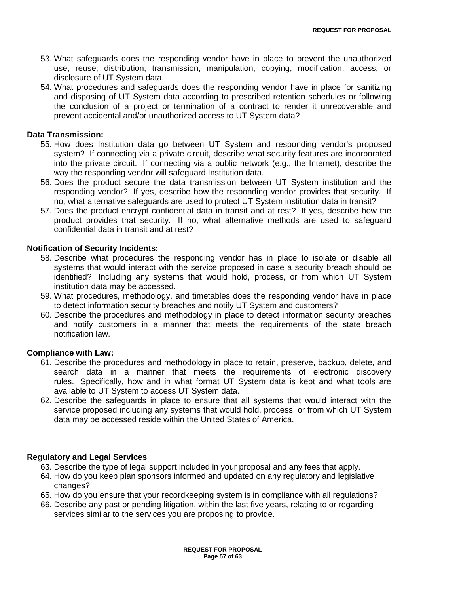- 53. What safeguards does the responding vendor have in place to prevent the unauthorized use, reuse, distribution, transmission, manipulation, copying, modification, access, or disclosure of UT System data.
- 54. What procedures and safeguards does the responding vendor have in place for sanitizing and disposing of UT System data according to prescribed retention schedules or following the conclusion of a project or termination of a contract to render it unrecoverable and prevent accidental and/or unauthorized access to UT System data?

## **Data Transmission:**

- 55. How does Institution data go between UT System and responding vendor's proposed system? If connecting via a private circuit, describe what security features are incorporated into the private circuit. If connecting via a public network (e.g., the Internet), describe the way the responding vendor will safeguard Institution data.
- 56. Does the product secure the data transmission between UT System institution and the responding vendor? If yes, describe how the responding vendor provides that security. If no, what alternative safeguards are used to protect UT System institution data in transit?
- 57. Does the product encrypt confidential data in transit and at rest? If yes, describe how the product provides that security. If no, what alternative methods are used to safeguard confidential data in transit and at rest?

## **Notification of Security Incidents:**

- 58. Describe what procedures the responding vendor has in place to isolate or disable all systems that would interact with the service proposed in case a security breach should be identified? Including any systems that would hold, process, or from which UT System institution data may be accessed.
- 59. What procedures, methodology, and timetables does the responding vendor have in place to detect information security breaches and notify UT System and customers?
- 60. Describe the procedures and methodology in place to detect information security breaches and notify customers in a manner that meets the requirements of the state breach notification law.

## **Compliance with Law:**

- 61. Describe the procedures and methodology in place to retain, preserve, backup, delete, and search data in a manner that meets the requirements of electronic discovery rules. Specifically, how and in what format UT System data is kept and what tools are available to UT System to access UT System data.
- 62. Describe the safeguards in place to ensure that all systems that would interact with the service proposed including any systems that would hold, process, or from which UT System data may be accessed reside within the United States of America.

## **Regulatory and Legal Services**

- 63. Describe the type of legal support included in your proposal and any fees that apply.
- 64. How do you keep plan sponsors informed and updated on any regulatory and legislative changes?
- 65. How do you ensure that your recordkeeping system is in compliance with all regulations?
- 66. Describe any past or pending litigation, within the last five years, relating to or regarding services similar to the services you are proposing to provide.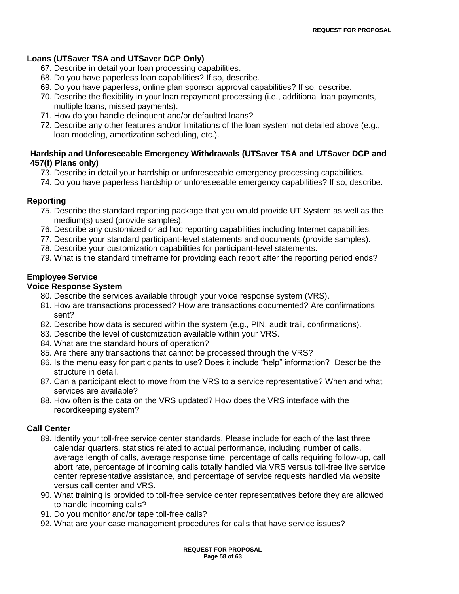## **Loans (UTSaver TSA and UTSaver DCP Only)**

- 67. Describe in detail your loan processing capabilities.
- 68. Do you have paperless loan capabilities? If so, describe.
- 69. Do you have paperless, online plan sponsor approval capabilities? If so, describe.
- 70. Describe the flexibility in your loan repayment processing (i.e., additional loan payments, multiple loans, missed payments).
- 71. How do you handle delinquent and/or defaulted loans?
- 72. Describe any other features and/or limitations of the loan system not detailed above (e.g., loan modeling, amortization scheduling, etc.).

## **Hardship and Unforeseeable Emergency Withdrawals (UTSaver TSA and UTSaver DCP and 457(f) Plans only)**

- 73. Describe in detail your hardship or unforeseeable emergency processing capabilities.
- 74. Do you have paperless hardship or unforeseeable emergency capabilities? If so, describe.

## **Reporting**

- 75. Describe the standard reporting package that you would provide UT System as well as the medium(s) used (provide samples).
- 76. Describe any customized or ad hoc reporting capabilities including Internet capabilities.
- 77. Describe your standard participant-level statements and documents (provide samples).
- 78. Describe your customization capabilities for participant-level statements.
- 79. What is the standard timeframe for providing each report after the reporting period ends?

## **Employee Service**

## **Voice Response System**

- 80. Describe the services available through your voice response system (VRS).
- 81. How are transactions processed? How are transactions documented? Are confirmations sent?
- 82. Describe how data is secured within the system (e.g., PIN, audit trail, confirmations).
- 83. Describe the level of customization available within your VRS.
- 84. What are the standard hours of operation?
- 85. Are there any transactions that cannot be processed through the VRS?
- 86. Is the menu easy for participants to use? Does it include "help" information? Describe the structure in detail.
- 87. Can a participant elect to move from the VRS to a service representative? When and what services are available?
- 88. How often is the data on the VRS updated? How does the VRS interface with the recordkeeping system?

## **Call Center**

- 89. Identify your toll-free service center standards. Please include for each of the last three calendar quarters, statistics related to actual performance, including number of calls, average length of calls, average response time, percentage of calls requiring follow-up, call abort rate, percentage of incoming calls totally handled via VRS versus toll-free live service center representative assistance, and percentage of service requests handled via website versus call center and VRS.
- 90. What training is provided to toll-free service center representatives before they are allowed to handle incoming calls?
- 91. Do you monitor and/or tape toll-free calls?
- 92. What are your case management procedures for calls that have service issues?

**REQUEST FOR PROPOSAL Page 58 of 63**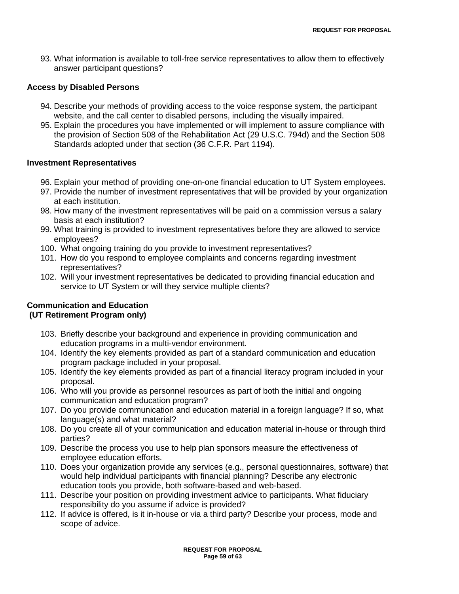93. What information is available to toll-free service representatives to allow them to effectively answer participant questions?

## **Access by Disabled Persons**

- 94. Describe your methods of providing access to the voice response system, the participant website, and the call center to disabled persons, including the visually impaired.
- 95. Explain the procedures you have implemented or will implement to assure compliance with the provision of Section 508 of the Rehabilitation Act (29 U.S.C. 794d) and the Section 508 Standards adopted under that section (36 C.F.R. Part 1194).

## **Investment Representatives**

- 96. Explain your method of providing one-on-one financial education to UT System employees.
- 97. Provide the number of investment representatives that will be provided by your organization at each institution.
- 98. How many of the investment representatives will be paid on a commission versus a salary basis at each institution?
- 99. What training is provided to investment representatives before they are allowed to service employees?
- 100. What ongoing training do you provide to investment representatives?
- 101. How do you respond to employee complaints and concerns regarding investment representatives?
- 102. Will your investment representatives be dedicated to providing financial education and service to UT System or will they service multiple clients?

## **Communication and Education (UT Retirement Program only)**

- 103. Briefly describe your background and experience in providing communication and education programs in a multi-vendor environment.
- 104. Identify the key elements provided as part of a standard communication and education program package included in your proposal.
- 105. Identify the key elements provided as part of a financial literacy program included in your proposal.
- 106. Who will you provide as personnel resources as part of both the initial and ongoing communication and education program?
- 107. Do you provide communication and education material in a foreign language? If so, what language(s) and what material?
- 108. Do you create all of your communication and education material in-house or through third parties?
- 109. Describe the process you use to help plan sponsors measure the effectiveness of employee education efforts.
- 110. Does your organization provide any services (e.g., personal questionnaires, software) that would help individual participants with financial planning? Describe any electronic education tools you provide, both software-based and web-based.
- 111. Describe your position on providing investment advice to participants. What fiduciary responsibility do you assume if advice is provided?
- 112. If advice is offered, is it in-house or via a third party? Describe your process, mode and scope of advice.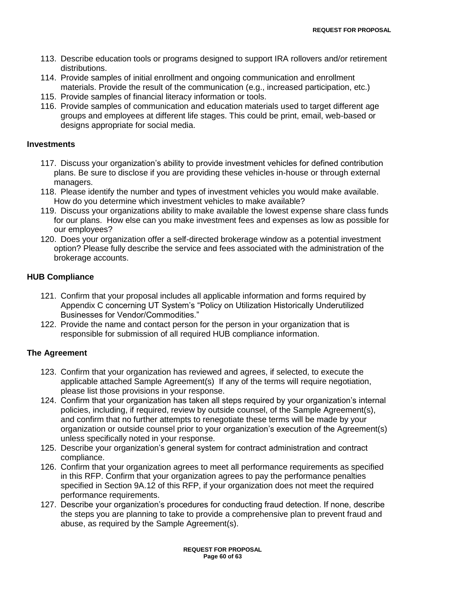- 113. Describe education tools or programs designed to support IRA rollovers and/or retirement distributions.
- 114. Provide samples of initial enrollment and ongoing communication and enrollment materials. Provide the result of the communication (e.g., increased participation, etc.)
- 115. Provide samples of financial literacy information or tools.
- 116. Provide samples of communication and education materials used to target different age groups and employees at different life stages. This could be print, email, web-based or designs appropriate for social media.

## **Investments**

- 117. Discuss your organization"s ability to provide investment vehicles for defined contribution plans. Be sure to disclose if you are providing these vehicles in-house or through external managers.
- 118. Please identify the number and types of investment vehicles you would make available. How do you determine which investment vehicles to make available?
- 119. Discuss your organizations ability to make available the lowest expense share class funds for our plans. How else can you make investment fees and expenses as low as possible for our employees?
- 120. Does your organization offer a self-directed brokerage window as a potential investment option? Please fully describe the service and fees associated with the administration of the brokerage accounts.

## **HUB Compliance**

- 121. Confirm that your proposal includes all applicable information and forms required by Appendix C concerning UT System"s "Policy on Utilization Historically Underutilized Businesses for Vendor/Commodities."
- 122. Provide the name and contact person for the person in your organization that is responsible for submission of all required HUB compliance information.

## **The Agreement**

- 123. Confirm that your organization has reviewed and agrees, if selected, to execute the applicable attached Sample Agreement(s) If any of the terms will require negotiation, please list those provisions in your response.
- 124. Confirm that your organization has taken all steps required by your organization"s internal policies, including, if required, review by outside counsel, of the Sample Agreement(s), and confirm that no further attempts to renegotiate these terms will be made by your organization or outside counsel prior to your organization"s execution of the Agreement(s) unless specifically noted in your response.
- 125. Describe your organization"s general system for contract administration and contract compliance.
- 126. Confirm that your organization agrees to meet all performance requirements as specified in this RFP. Confirm that your organization agrees to pay the performance penalties specified in Section 9A.12 of this RFP, if your organization does not meet the required performance requirements.
- 127. Describe your organization"s procedures for conducting fraud detection. If none, describe the steps you are planning to take to provide a comprehensive plan to prevent fraud and abuse, as required by the Sample Agreement(s).

**REQUEST FOR PROPOSAL Page 60 of 63**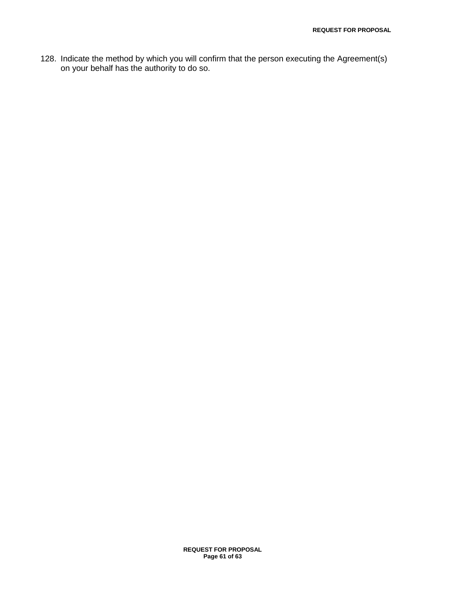128. Indicate the method by which you will confirm that the person executing the Agreement(s) on your behalf has the authority to do so.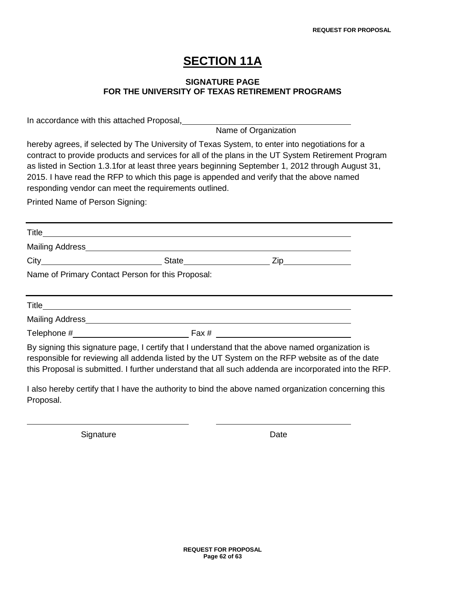# **SECTION 11A**

## **SIGNATURE PAGE FOR THE UNIVERSITY OF TEXAS RETIREMENT PROGRAMS**

In accordance with this attached Proposal,

Name of Organization

hereby agrees, if selected by The University of Texas System, to enter into negotiations for a contract to provide products and services for all of the plans in the UT System Retirement Program as listed in Section 1.3.1for at least three years beginning September 1, 2012 through August 31, 2015. I have read the RFP to which this page is appended and verify that the above named responding vendor can meet the requirements outlined.

Printed Name of Person Signing:

**Title** Mailing Address City State Zip Name of Primary Contact Person for this Proposal: **Title** Mailing Address

Telephone  $\#$  Fax  $\#$ 

By signing this signature page, I certify that I understand that the above named organization is responsible for reviewing all addenda listed by the UT System on the RFP website as of the date this Proposal is submitted. I further understand that all such addenda are incorporated into the RFP.

I also hereby certify that I have the authority to bind the above named organization concerning this Proposal.

Signature Date